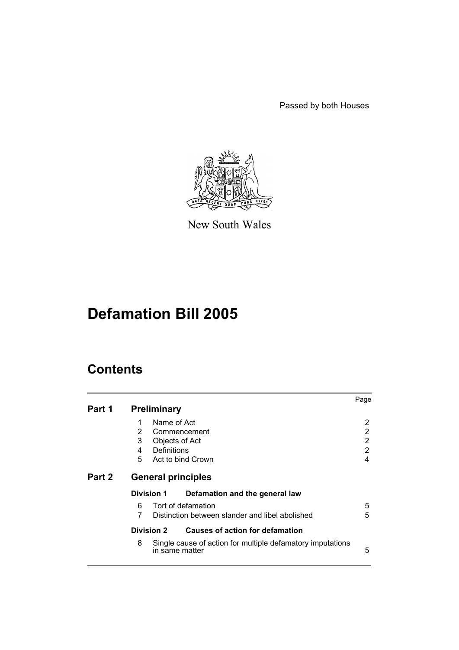Passed by both Houses



New South Wales

# **Defamation Bill 2005**

# **Contents**

|        |                                                                                   | Page |
|--------|-----------------------------------------------------------------------------------|------|
| Part 1 | <b>Preliminary</b>                                                                |      |
|        | Name of Act<br>1                                                                  | 2    |
|        | $\overline{2}$<br>Commencement                                                    | 2    |
|        | 3<br>Objects of Act                                                               | 2    |
|        | Definitions<br>4                                                                  | 2    |
|        | 5<br>Act to bind Crown                                                            | 4    |
| Part 2 | <b>General principles</b>                                                         |      |
|        | <b>Division 1</b><br>Defamation and the general law                               |      |
|        | Tort of defamation<br>6                                                           | 5    |
|        | 7<br>Distinction between slander and libel abolished                              | 5    |
|        | Causes of action for defamation<br>Division 2                                     |      |
|        | 8<br>Single cause of action for multiple defamatory imputations<br>in same matter | 5    |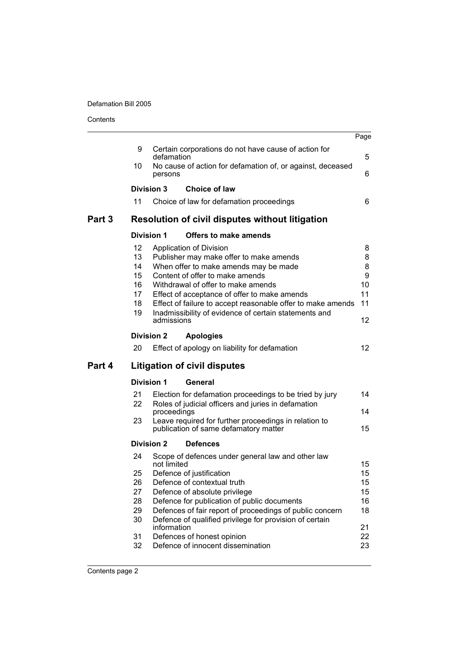Contents

|        |                                                    |                            |                                                                                                                                                                                                                                                                                                                                                                                        | Page                                                             |
|--------|----------------------------------------------------|----------------------------|----------------------------------------------------------------------------------------------------------------------------------------------------------------------------------------------------------------------------------------------------------------------------------------------------------------------------------------------------------------------------------------|------------------------------------------------------------------|
|        | 9                                                  | defamation                 | Certain corporations do not have cause of action for                                                                                                                                                                                                                                                                                                                                   | 5                                                                |
|        | 10                                                 | persons                    | No cause of action for defamation of, or against, deceased                                                                                                                                                                                                                                                                                                                             | 6                                                                |
|        |                                                    | <b>Division 3</b>          | <b>Choice of law</b>                                                                                                                                                                                                                                                                                                                                                                   |                                                                  |
|        | 11                                                 |                            | Choice of law for defamation proceedings                                                                                                                                                                                                                                                                                                                                               | 6                                                                |
| Part 3 |                                                    |                            | <b>Resolution of civil disputes without litigation</b>                                                                                                                                                                                                                                                                                                                                 |                                                                  |
|        |                                                    | <b>Division 1</b>          | Offers to make amends                                                                                                                                                                                                                                                                                                                                                                  |                                                                  |
|        | 12<br>13<br>14<br>15<br>16<br>17<br>18<br>19       | admissions                 | Application of Division<br>Publisher may make offer to make amends<br>When offer to make amends may be made<br>Content of offer to make amends<br>Withdrawal of offer to make amends<br>Effect of acceptance of offer to make amends<br>Effect of failure to accept reasonable offer to make amends<br>Inadmissibility of evidence of certain statements and                           | 8<br>8<br>8<br>9<br>10<br>11<br>11<br>$12 \overline{ }$          |
|        |                                                    | <b>Division 2</b>          | <b>Apologies</b>                                                                                                                                                                                                                                                                                                                                                                       |                                                                  |
|        | 20                                                 |                            | Effect of apology on liability for defamation                                                                                                                                                                                                                                                                                                                                          | 12 <sup>2</sup>                                                  |
| Part 4 |                                                    |                            | <b>Litigation of civil disputes</b>                                                                                                                                                                                                                                                                                                                                                    |                                                                  |
|        |                                                    | <b>Division 1</b>          | General                                                                                                                                                                                                                                                                                                                                                                                |                                                                  |
|        | 21<br>22<br>23                                     | proceedings                | Election for defamation proceedings to be tried by jury<br>Roles of judicial officers and juries in defamation<br>Leave required for further proceedings in relation to<br>publication of same defamatory matter                                                                                                                                                                       | 14<br>14<br>15                                                   |
|        |                                                    | <b>Division 2</b>          | <b>Defences</b>                                                                                                                                                                                                                                                                                                                                                                        |                                                                  |
|        | 24<br>25<br>26<br>27<br>28<br>29<br>30<br>31<br>32 | not limited<br>information | Scope of defences under general law and other law<br>Defence of justification<br>Defence of contextual truth<br>Defence of absolute privilege<br>Defence for publication of public documents<br>Defences of fair report of proceedings of public concern<br>Defence of qualified privilege for provision of certain<br>Defences of honest opinion<br>Defence of innocent dissemination | 15<br>15 <sub>15</sub><br>15<br>15<br>16<br>18<br>21<br>22<br>23 |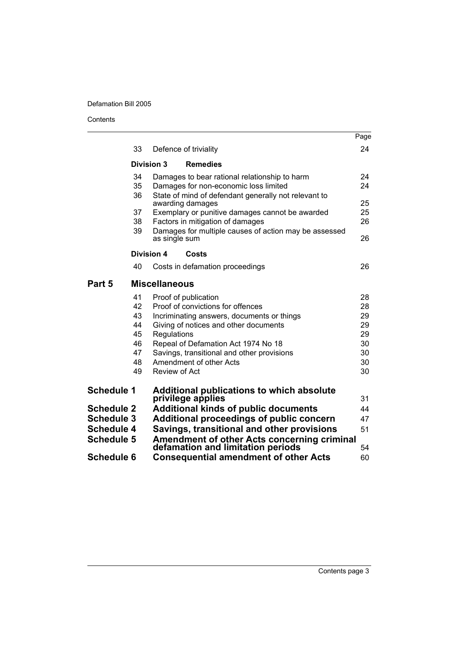Contents

|                   |                   |                                                                                  | Page |
|-------------------|-------------------|----------------------------------------------------------------------------------|------|
|                   | 33                | Defence of triviality                                                            | 24   |
|                   | <b>Division 3</b> | <b>Remedies</b>                                                                  |      |
|                   | 34                | Damages to bear rational relationship to harm                                    | 24   |
|                   | 35                | Damages for non-economic loss limited                                            | 24   |
|                   | 36                | State of mind of defendant generally not relevant to<br>awarding damages         | 25   |
|                   | 37                | Exemplary or punitive damages cannot be awarded                                  | 25   |
|                   | 38                | Factors in mitigation of damages                                                 | 26   |
|                   | 39                | Damages for multiple causes of action may be assessed<br>as single sum           | 26   |
|                   | <b>Division 4</b> | Costs                                                                            |      |
|                   | 40                | Costs in defamation proceedings                                                  | 26   |
| Part 5            |                   | <b>Miscellaneous</b>                                                             |      |
|                   | 41                | Proof of publication                                                             | 28   |
|                   | 42                | Proof of convictions for offences                                                | 28   |
|                   | 43                | Incriminating answers, documents or things                                       | 29   |
|                   | 44                | Giving of notices and other documents                                            | 29   |
|                   | 45                | Regulations                                                                      | 29   |
|                   | 46                | Repeal of Defamation Act 1974 No 18                                              | 30   |
|                   | 47                | Savings, transitional and other provisions                                       | 30   |
|                   | 48                | Amendment of other Acts                                                          | 30   |
|                   | 49                | Review of Act                                                                    | 30   |
| <b>Schedule 1</b> |                   | <b>Additional publications to which absolute</b>                                 |      |
|                   |                   | privilege applies                                                                | 31   |
| <b>Schedule 2</b> |                   | <b>Additional kinds of public documents</b>                                      | 44   |
| <b>Schedule 3</b> |                   | Additional proceedings of public concern                                         | 47   |
| <b>Schedule 4</b> |                   | Savings, transitional and other provisions                                       | 51   |
| <b>Schedule 5</b> |                   | Amendment of other Acts concerning criminal<br>defamation and limitation periods | 54   |
| <b>Schedule 6</b> |                   | <b>Consequential amendment of other Acts</b>                                     | 60   |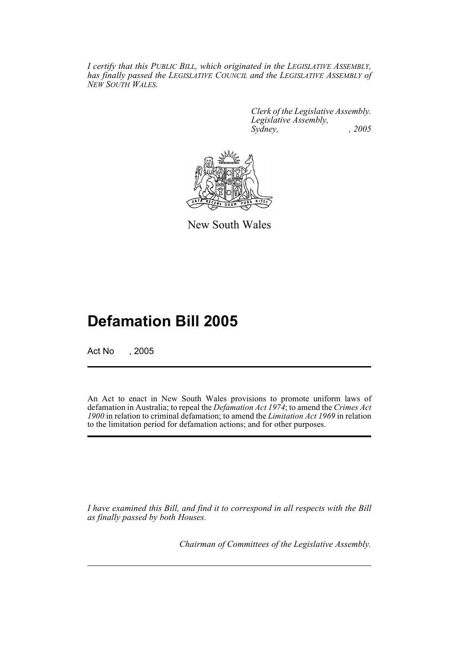*I certify that this PUBLIC BILL, which originated in the LEGISLATIVE ASSEMBLY, has finally passed the LEGISLATIVE COUNCIL and the LEGISLATIVE ASSEMBLY of NEW SOUTH WALES.*

> *Clerk of the Legislative Assembly. Legislative Assembly, Sydney, , 2005*



New South Wales

# **Defamation Bill 2005**

Act No , 2005

An Act to enact in New South Wales provisions to promote uniform laws of defamation in Australia; to repeal the *Defamation Act 1974*; to amend the *Crimes Act 1900* in relation to criminal defamation; to amend the *Limitation Act 1969* in relation to the limitation period for defamation actions; and for other purposes.

*I have examined this Bill, and find it to correspond in all respects with the Bill as finally passed by both Houses.*

*Chairman of Committees of the Legislative Assembly.*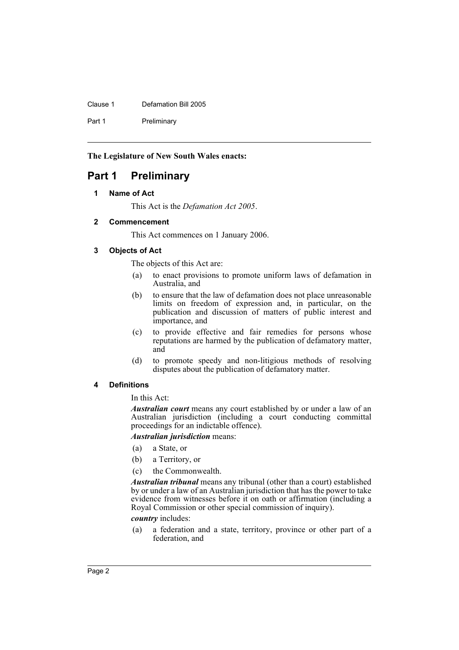Clause 1 Defamation Bill 2005

Part 1 Preliminary

**The Legislature of New South Wales enacts:**

# **Part 1 Preliminary**

# **1 Name of Act**

This Act is the *Defamation Act 2005*.

## **2 Commencement**

This Act commences on 1 January 2006.

# **3 Objects of Act**

The objects of this Act are:

- (a) to enact provisions to promote uniform laws of defamation in Australia, and
- (b) to ensure that the law of defamation does not place unreasonable limits on freedom of expression and, in particular, on the publication and discussion of matters of public interest and importance, and
- (c) to provide effective and fair remedies for persons whose reputations are harmed by the publication of defamatory matter, and
- (d) to promote speedy and non-litigious methods of resolving disputes about the publication of defamatory matter.

# **4 Definitions**

In this Act:

*Australian court* means any court established by or under a law of an Australian jurisdiction (including a court conducting committal proceedings for an indictable offence).

# *Australian jurisdiction* means:

- (a) a State, or
- (b) a Territory, or
- (c) the Commonwealth.

*Australian tribunal* means any tribunal (other than a court) established by or under a law of an Australian jurisdiction that has the power to take evidence from witnesses before it on oath or affirmation (including a Royal Commission or other special commission of inquiry).

*country* includes:

(a) a federation and a state, territory, province or other part of a federation, and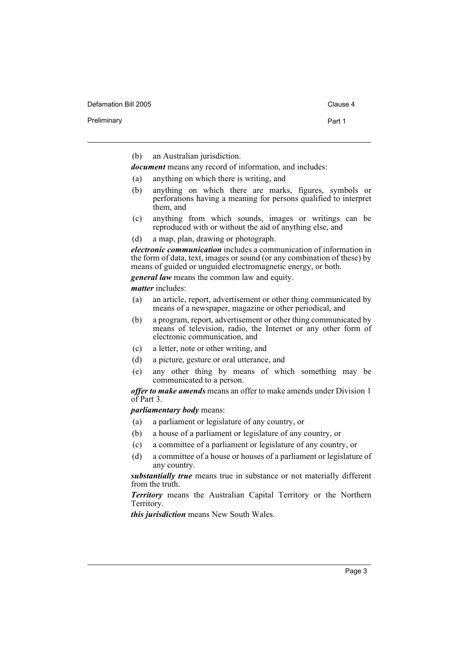Defamation Bill 2005 Clause 4

Preliminary **Preliminary** Part 1

(b) an Australian jurisdiction.

*document* means any record of information, and includes:

- (a) anything on which there is writing, and
- (b) anything on which there are marks, figures, symbols or perforations having a meaning for persons qualified to interpret them, and
- (c) anything from which sounds, images or writings can be reproduced with or without the aid of anything else, and
- (d) a map, plan, drawing or photograph.

*electronic communication* includes a communication of information in the form of data, text, images or sound (or any combination of these) by means of guided or unguided electromagnetic energy, or both.

*general law* means the common law and equity.

*matter* includes:

- (a) an article, report, advertisement or other thing communicated by means of a newspaper, magazine or other periodical, and
- (b) a program, report, advertisement or other thing communicated by means of television, radio, the Internet or any other form of electronic communication, and
- (c) a letter, note or other writing, and
- (d) a picture, gesture or oral utterance, and
- (e) any other thing by means of which something may be communicated to a person.

*offer to make amends* means an offer to make amends under Division 1 of Part 3.

*parliamentary body* means:

- (a) a parliament or legislature of any country, or
- (b) a house of a parliament or legislature of any country, or
- (c) a committee of a parliament or legislature of any country, or
- (d) a committee of a house or houses of a parliament or legislature of any country.

*substantially true* means true in substance or not materially different from the truth.

*Territory* means the Australian Capital Territory or the Northern Territory.

*this jurisdiction* means New South Wales.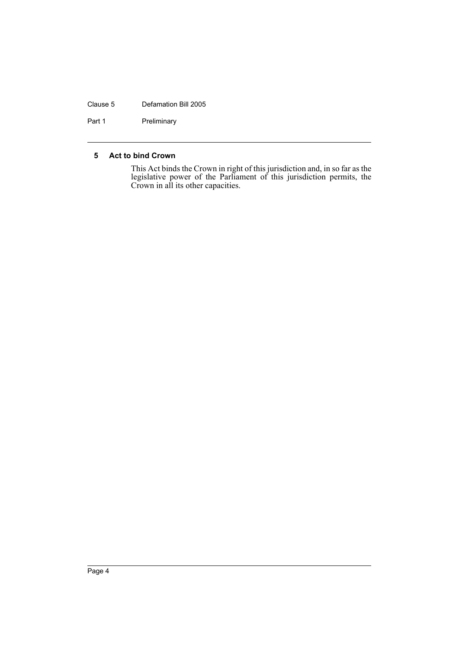### Clause 5 Defamation Bill 2005

Part 1 Preliminary

## **5 Act to bind Crown**

This Act binds the Crown in right of this jurisdiction and, in so far as the legislative power of the Parliament of this jurisdiction permits, the Crown in all its other capacities.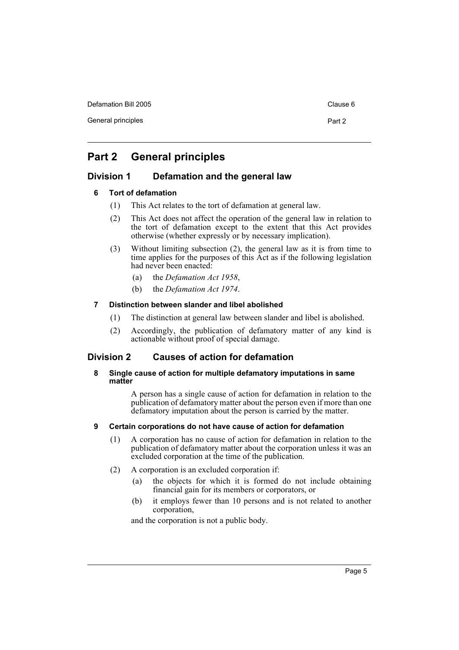Defamation Bill 2005 Clause 6

General principles **Part 2** 

# **Part 2 General principles**

# **Division 1 Defamation and the general law**

# **6 Tort of defamation**

- (1) This Act relates to the tort of defamation at general law.
- (2) This Act does not affect the operation of the general law in relation to the tort of defamation except to the extent that this Act provides otherwise (whether expressly or by necessary implication).
- (3) Without limiting subsection (2), the general law as it is from time to time applies for the purposes of this Act as if the following legislation had never been enacted:
	- (a) the *Defamation Act 1958*,
	- (b) the *Defamation Act 1974*.

# **7 Distinction between slander and libel abolished**

- (1) The distinction at general law between slander and libel is abolished.
- (2) Accordingly, the publication of defamatory matter of any kind is actionable without proof of special damage.

# **Division 2 Causes of action for defamation**

# **8 Single cause of action for multiple defamatory imputations in same matter**

A person has a single cause of action for defamation in relation to the publication of defamatory matter about the person even if more than one defamatory imputation about the person is carried by the matter.

# **9 Certain corporations do not have cause of action for defamation**

- (1) A corporation has no cause of action for defamation in relation to the publication of defamatory matter about the corporation unless it was an excluded corporation at the time of the publication.
- (2) A corporation is an excluded corporation if:
	- (a) the objects for which it is formed do not include obtaining financial gain for its members or corporators, or
	- (b) it employs fewer than 10 persons and is not related to another corporation,

and the corporation is not a public body.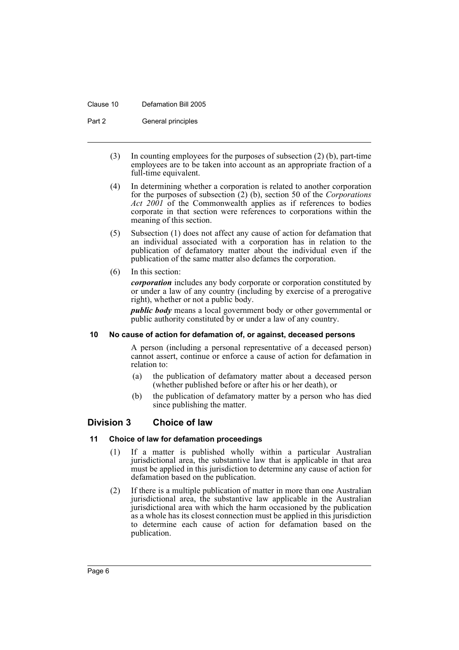#### Clause 10 Defamation Bill 2005

Part 2 General principles

- (3) In counting employees for the purposes of subsection (2) (b), part-time employees are to be taken into account as an appropriate fraction of a full-time equivalent.
- (4) In determining whether a corporation is related to another corporation for the purposes of subsection (2) (b), section 50 of the *Corporations Act 2001* of the Commonwealth applies as if references to bodies corporate in that section were references to corporations within the meaning of this section.
- (5) Subsection (1) does not affect any cause of action for defamation that an individual associated with a corporation has in relation to the publication of defamatory matter about the individual even if the publication of the same matter also defames the corporation.
- (6) In this section:

*corporation* includes any body corporate or corporation constituted by or under a law of any country (including by exercise of a prerogative right), whether or not a public body.

*public body* means a local government body or other governmental or public authority constituted by or under a law of any country.

## **10 No cause of action for defamation of, or against, deceased persons**

A person (including a personal representative of a deceased person) cannot assert, continue or enforce a cause of action for defamation in relation to:

- (a) the publication of defamatory matter about a deceased person (whether published before or after his or her death), or
- (b) the publication of defamatory matter by a person who has died since publishing the matter.

# **Division 3 Choice of law**

# **11 Choice of law for defamation proceedings**

- (1) If a matter is published wholly within a particular Australian jurisdictional area, the substantive law that is applicable in that area must be applied in this jurisdiction to determine any cause of action for defamation based on the publication.
- (2) If there is a multiple publication of matter in more than one Australian jurisdictional area, the substantive law applicable in the Australian jurisdictional area with which the harm occasioned by the publication as a whole has its closest connection must be applied in this jurisdiction to determine each cause of action for defamation based on the publication.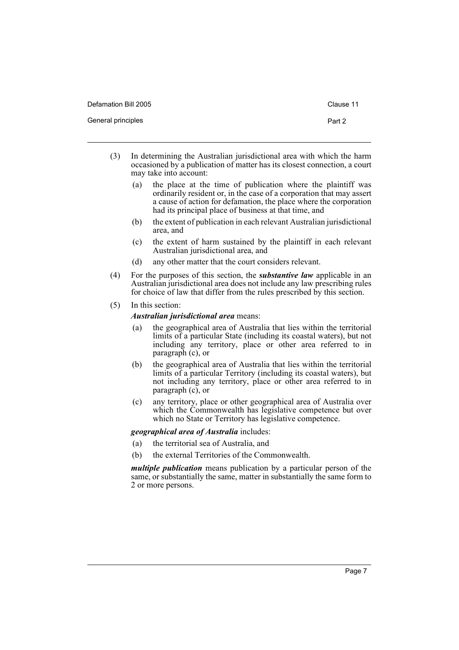| Defamation Bill 2005 | Clause 11 |
|----------------------|-----------|
| General principles   | Part 2    |

- (3) In determining the Australian jurisdictional area with which the harm occasioned by a publication of matter has its closest connection, a court may take into account:
	- (a) the place at the time of publication where the plaintiff was ordinarily resident or, in the case of a corporation that may assert a cause of action for defamation, the place where the corporation had its principal place of business at that time, and
	- (b) the extent of publication in each relevant Australian jurisdictional area, and
	- (c) the extent of harm sustained by the plaintiff in each relevant Australian jurisdictional area, and
	- (d) any other matter that the court considers relevant.
- (4) For the purposes of this section, the *substantive law* applicable in an Australian jurisdictional area does not include any law prescribing rules for choice of law that differ from the rules prescribed by this section.
- (5) In this section:

## *Australian jurisdictional area* means:

- (a) the geographical area of Australia that lies within the territorial limits of a particular State (including its coastal waters), but not including any territory, place or other area referred to in paragraph (c), or
- (b) the geographical area of Australia that lies within the territorial limits of a particular Territory (including its coastal waters), but not including any territory, place or other area referred to in paragraph (c), or
- (c) any territory, place or other geographical area of Australia over which the Commonwealth has legislative competence but over which no State or Territory has legislative competence.

*geographical area of Australia* includes:

- (a) the territorial sea of Australia, and
- (b) the external Territories of the Commonwealth.

*multiple publication* means publication by a particular person of the same, or substantially the same, matter in substantially the same form to 2 or more persons.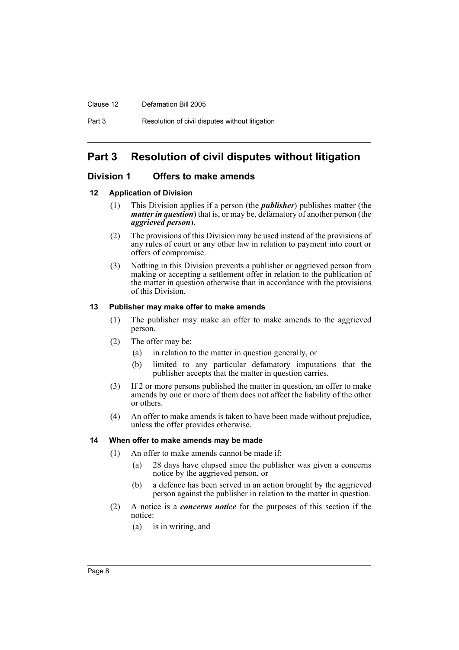Clause 12 Defamation Bill 2005

# **Part 3 Resolution of civil disputes without litigation**

# **Division 1 Offers to make amends**

## **12 Application of Division**

- (1) This Division applies if a person (the *publisher*) publishes matter (the *matter in question*) that is, or may be, defamatory of another person (the *aggrieved person*).
- (2) The provisions of this Division may be used instead of the provisions of any rules of court or any other law in relation to payment into court or offers of compromise.
- (3) Nothing in this Division prevents a publisher or aggrieved person from making or accepting a settlement offer in relation to the publication of the matter in question otherwise than in accordance with the provisions of this Division.

#### **13 Publisher may make offer to make amends**

- (1) The publisher may make an offer to make amends to the aggrieved person.
- (2) The offer may be:
	- (a) in relation to the matter in question generally, or
	- (b) limited to any particular defamatory imputations that the publisher accepts that the matter in question carries.
- (3) If 2 or more persons published the matter in question, an offer to make amends by one or more of them does not affect the liability of the other or others.
- (4) An offer to make amends is taken to have been made without prejudice, unless the offer provides otherwise.

#### **14 When offer to make amends may be made**

- (1) An offer to make amends cannot be made if:
	- (a) 28 days have elapsed since the publisher was given a concerns notice by the aggrieved person, or
	- (b) a defence has been served in an action brought by the aggrieved person against the publisher in relation to the matter in question.
- (2) A notice is a *concerns notice* for the purposes of this section if the notice:
	- (a) is in writing, and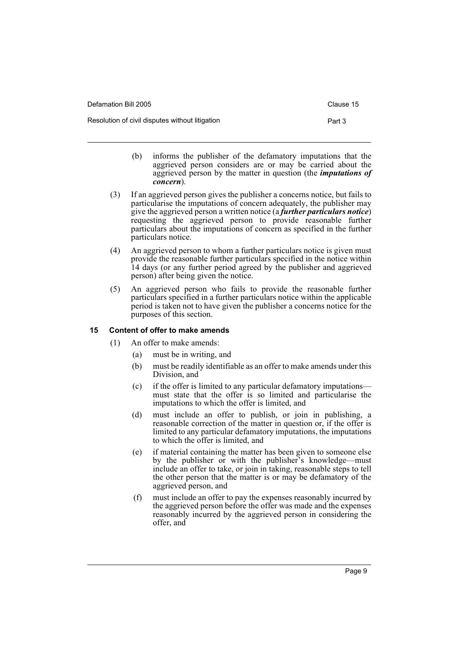| Defamation Bill 2005                            | Clause 15 |
|-------------------------------------------------|-----------|
| Resolution of civil disputes without litigation | Part 3    |

- (b) informs the publisher of the defamatory imputations that the aggrieved person considers are or may be carried about the aggrieved person by the matter in question (the *imputations of concern*).
- (3) If an aggrieved person gives the publisher a concerns notice, but fails to particularise the imputations of concern adequately, the publisher may give the aggrieved person a written notice (a *further particulars notice*) requesting the aggrieved person to provide reasonable further particulars about the imputations of concern as specified in the further particulars notice.
- (4) An aggrieved person to whom a further particulars notice is given must provide the reasonable further particulars specified in the notice within 14 days (or any further period agreed by the publisher and aggrieved person) after being given the notice.
- (5) An aggrieved person who fails to provide the reasonable further particulars specified in a further particulars notice within the applicable period is taken not to have given the publisher a concerns notice for the purposes of this section.

# **15 Content of offer to make amends**

- (1) An offer to make amends:
	- (a) must be in writing, and
	- (b) must be readily identifiable as an offer to make amends under this Division, and
	- (c) if the offer is limited to any particular defamatory imputations must state that the offer is so limited and particularise the imputations to which the offer is limited, and
	- (d) must include an offer to publish, or join in publishing, a reasonable correction of the matter in question or, if the offer is limited to any particular defamatory imputations, the imputations to which the offer is limited, and
	- (e) if material containing the matter has been given to someone else by the publisher or with the publisher's knowledge—must include an offer to take, or join in taking, reasonable steps to tell the other person that the matter is or may be defamatory of the aggrieved person, and
	- (f) must include an offer to pay the expenses reasonably incurred by the aggrieved person before the offer was made and the expenses reasonably incurred by the aggrieved person in considering the offer, and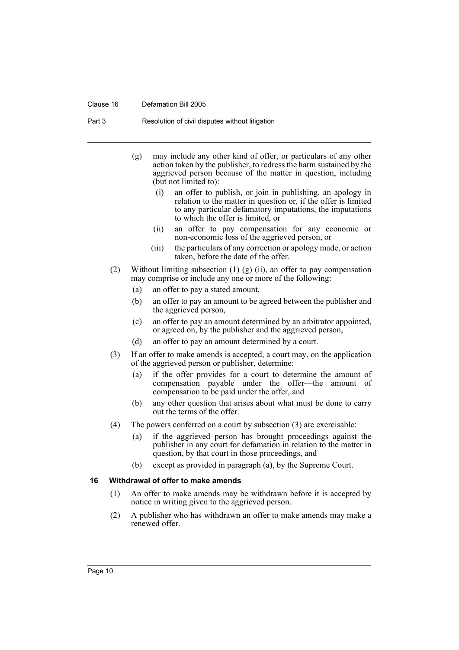#### Clause 16 Defamation Bill 2005

Part 3 Resolution of civil disputes without litigation

- (g) may include any other kind of offer, or particulars of any other action taken by the publisher, to redress the harm sustained by the aggrieved person because of the matter in question, including (but not limited to):
	- (i) an offer to publish, or join in publishing, an apology in relation to the matter in question or, if the offer is limited to any particular defamatory imputations, the imputations to which the offer is limited, or
	- (ii) an offer to pay compensation for any economic or non-economic loss of the aggrieved person, or
	- (iii) the particulars of any correction or apology made, or action taken, before the date of the offer.
- (2) Without limiting subsection (1) (g) (ii), an offer to pay compensation may comprise or include any one or more of the following:
	- (a) an offer to pay a stated amount,
	- (b) an offer to pay an amount to be agreed between the publisher and the aggrieved person,
	- (c) an offer to pay an amount determined by an arbitrator appointed, or agreed on, by the publisher and the aggrieved person,
	- (d) an offer to pay an amount determined by a court.
- (3) If an offer to make amends is accepted, a court may, on the application of the aggrieved person or publisher, determine:
	- (a) if the offer provides for a court to determine the amount of compensation payable under the offer—the amount of compensation to be paid under the offer, and
	- (b) any other question that arises about what must be done to carry out the terms of the offer.
- (4) The powers conferred on a court by subsection (3) are exercisable:
	- (a) if the aggrieved person has brought proceedings against the publisher in any court for defamation in relation to the matter in question, by that court in those proceedings, and
	- (b) except as provided in paragraph (a), by the Supreme Court.

#### **16 Withdrawal of offer to make amends**

- (1) An offer to make amends may be withdrawn before it is accepted by notice in writing given to the aggrieved person.
- (2) A publisher who has withdrawn an offer to make amends may make a renewed offer.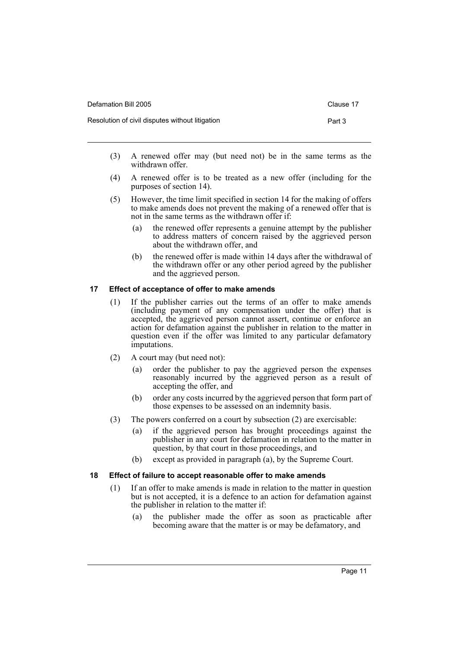|                                                           | Clause 17 |
|-----------------------------------------------------------|-----------|
| Resolution of civil disputes without litigation<br>Part 3 |           |

- (3) A renewed offer may (but need not) be in the same terms as the withdrawn offer.
- (4) A renewed offer is to be treated as a new offer (including for the purposes of section 14).
- (5) However, the time limit specified in section 14 for the making of offers to make amends does not prevent the making of a renewed offer that is not in the same terms as the withdrawn offer if:
	- (a) the renewed offer represents a genuine attempt by the publisher to address matters of concern raised by the aggrieved person about the withdrawn offer, and
	- (b) the renewed offer is made within 14 days after the withdrawal of the withdrawn offer or any other period agreed by the publisher and the aggrieved person.

# **17 Effect of acceptance of offer to make amends**

- (1) If the publisher carries out the terms of an offer to make amends (including payment of any compensation under the offer) that is accepted, the aggrieved person cannot assert, continue or enforce an action for defamation against the publisher in relation to the matter in question even if the offer was limited to any particular defamatory imputations.
- (2) A court may (but need not):
	- (a) order the publisher to pay the aggrieved person the expenses reasonably incurred by the aggrieved person as a result of accepting the offer, and
	- (b) order any costs incurred by the aggrieved person that form part of those expenses to be assessed on an indemnity basis.
- (3) The powers conferred on a court by subsection (2) are exercisable:
	- (a) if the aggrieved person has brought proceedings against the publisher in any court for defamation in relation to the matter in question, by that court in those proceedings, and
	- (b) except as provided in paragraph (a), by the Supreme Court.

# **18 Effect of failure to accept reasonable offer to make amends**

- (1) If an offer to make amends is made in relation to the matter in question but is not accepted, it is a defence to an action for defamation against the publisher in relation to the matter if:
	- (a) the publisher made the offer as soon as practicable after becoming aware that the matter is or may be defamatory, and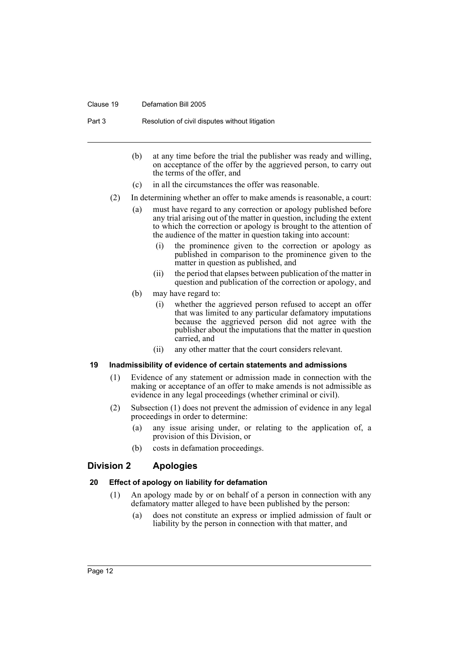#### Clause 19 Defamation Bill 2005

Part 3 Resolution of civil disputes without litigation

- (b) at any time before the trial the publisher was ready and willing, on acceptance of the offer by the aggrieved person, to carry out the terms of the offer, and
- (c) in all the circumstances the offer was reasonable.
- (2) In determining whether an offer to make amends is reasonable, a court:
	- (a) must have regard to any correction or apology published before any trial arising out of the matter in question, including the extent to which the correction or apology is brought to the attention of the audience of the matter in question taking into account:
		- (i) the prominence given to the correction or apology as published in comparison to the prominence given to the matter in question as published, and
		- (ii) the period that elapses between publication of the matter in question and publication of the correction or apology, and
	- (b) may have regard to:
		- (i) whether the aggrieved person refused to accept an offer that was limited to any particular defamatory imputations because the aggrieved person did not agree with the publisher about the imputations that the matter in question carried, and
		- (ii) any other matter that the court considers relevant.

#### **19 Inadmissibility of evidence of certain statements and admissions**

- (1) Evidence of any statement or admission made in connection with the making or acceptance of an offer to make amends is not admissible as evidence in any legal proceedings (whether criminal or civil).
- (2) Subsection (1) does not prevent the admission of evidence in any legal proceedings in order to determine:
	- (a) any issue arising under, or relating to the application of, a provision of this Division, or
	- (b) costs in defamation proceedings.

# **Division 2 Apologies**

#### **20 Effect of apology on liability for defamation**

- (1) An apology made by or on behalf of a person in connection with any defamatory matter alleged to have been published by the person:
	- (a) does not constitute an express or implied admission of fault or liability by the person in connection with that matter, and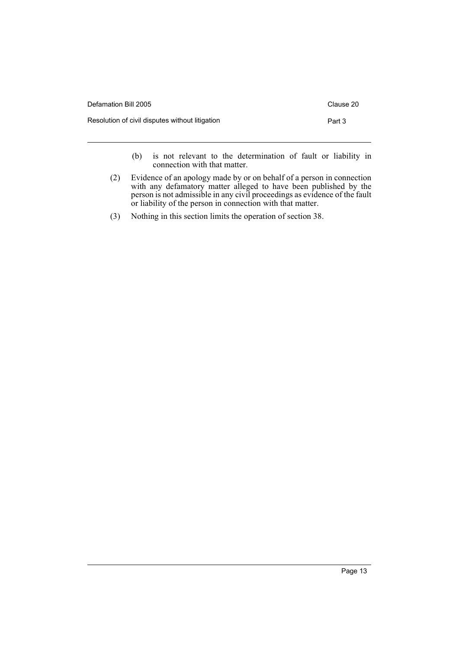| Defamation Bill 2005                            | Clause 20 |
|-------------------------------------------------|-----------|
| Resolution of civil disputes without litigation | Part 3    |
|                                                 |           |

(b) is not relevant to the determination of fault or liability in connection with that matter.

- (2) Evidence of an apology made by or on behalf of a person in connection with any defamatory matter alleged to have been published by the person is not admissible in any civil proceedings as evidence of the fault or liability of the person in connection with that matter.
- (3) Nothing in this section limits the operation of section 38.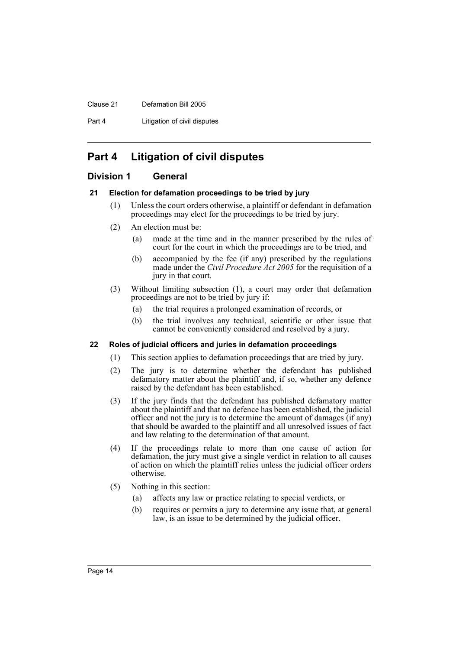#### Clause 21 Defamation Bill 2005

Part 4 **Litigation of civil disputes** 

# **Part 4 Litigation of civil disputes**

# **Division 1 General**

## **21 Election for defamation proceedings to be tried by jury**

- (1) Unless the court orders otherwise, a plaintiff or defendant in defamation proceedings may elect for the proceedings to be tried by jury.
- (2) An election must be:
	- (a) made at the time and in the manner prescribed by the rules of court for the court in which the proceedings are to be tried, and
	- (b) accompanied by the fee (if any) prescribed by the regulations made under the *Civil Procedure Act 2005* for the requisition of a jury in that court.
- (3) Without limiting subsection (1), a court may order that defamation proceedings are not to be tried by jury if:
	- (a) the trial requires a prolonged examination of records, or
	- (b) the trial involves any technical, scientific or other issue that cannot be conveniently considered and resolved by a jury.

# **22 Roles of judicial officers and juries in defamation proceedings**

- (1) This section applies to defamation proceedings that are tried by jury.
- (2) The jury is to determine whether the defendant has published defamatory matter about the plaintiff and, if so, whether any defence raised by the defendant has been established.
- (3) If the jury finds that the defendant has published defamatory matter about the plaintiff and that no defence has been established, the judicial officer and not the jury is to determine the amount of damages (if any) that should be awarded to the plaintiff and all unresolved issues of fact and law relating to the determination of that amount.
- (4) If the proceedings relate to more than one cause of action for defamation, the jury must give a single verdict in relation to all causes of action on which the plaintiff relies unless the judicial officer orders otherwise.
- (5) Nothing in this section:
	- (a) affects any law or practice relating to special verdicts, or
	- (b) requires or permits a jury to determine any issue that, at general law, is an issue to be determined by the judicial officer.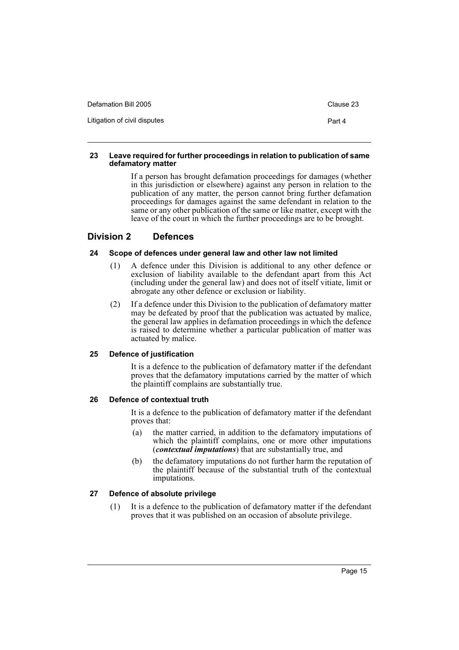| Defamation Bill 2005         | Clause 23 |
|------------------------------|-----------|
| Litigation of civil disputes | Part 4    |

### **23 Leave required for further proceedings in relation to publication of same defamatory matter**

If a person has brought defamation proceedings for damages (whether in this jurisdiction or elsewhere) against any person in relation to the publication of any matter, the person cannot bring further defamation proceedings for damages against the same defendant in relation to the same or any other publication of the same or like matter, except with the leave of the court in which the further proceedings are to be brought.

# **Division 2 Defences**

# **24 Scope of defences under general law and other law not limited**

- (1) A defence under this Division is additional to any other defence or exclusion of liability available to the defendant apart from this Act (including under the general law) and does not of itself vitiate, limit or abrogate any other defence or exclusion or liability.
- (2) If a defence under this Division to the publication of defamatory matter may be defeated by proof that the publication was actuated by malice, the general law applies in defamation proceedings in which the defence is raised to determine whether a particular publication of matter was actuated by malice.

# **25 Defence of justification**

It is a defence to the publication of defamatory matter if the defendant proves that the defamatory imputations carried by the matter of which the plaintiff complains are substantially true.

# **26 Defence of contextual truth**

It is a defence to the publication of defamatory matter if the defendant proves that:

- (a) the matter carried, in addition to the defamatory imputations of which the plaintiff complains, one or more other imputations (*contextual imputations*) that are substantially true, and
- (b) the defamatory imputations do not further harm the reputation of the plaintiff because of the substantial truth of the contextual imputations.

# **27 Defence of absolute privilege**

(1) It is a defence to the publication of defamatory matter if the defendant proves that it was published on an occasion of absolute privilege.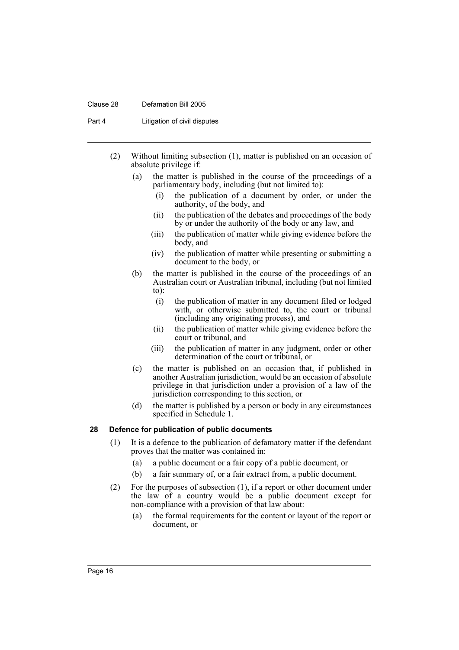#### Clause 28 Defamation Bill 2005

Part 4 **Litigation of civil disputes** 

- (2) Without limiting subsection (1), matter is published on an occasion of absolute privilege if:
	- (a) the matter is published in the course of the proceedings of a parliamentary body, including (but not limited to):
		- (i) the publication of a document by order, or under the authority, of the body, and
		- (ii) the publication of the debates and proceedings of the body by or under the authority of the body or any law, and
		- (iii) the publication of matter while giving evidence before the body, and
		- (iv) the publication of matter while presenting or submitting a document to the body, or
	- (b) the matter is published in the course of the proceedings of an Australian court or Australian tribunal, including (but not limited to):
		- (i) the publication of matter in any document filed or lodged with, or otherwise submitted to, the court or tribunal (including any originating process), and
		- (ii) the publication of matter while giving evidence before the court or tribunal, and
		- (iii) the publication of matter in any judgment, order or other determination of the court or tribunal, or
	- (c) the matter is published on an occasion that, if published in another Australian jurisdiction, would be an occasion of absolute privilege in that jurisdiction under a provision of a law of the jurisdiction corresponding to this section, or
	- (d) the matter is published by a person or body in any circumstances specified in Schedule 1.

### **28 Defence for publication of public documents**

- (1) It is a defence to the publication of defamatory matter if the defendant proves that the matter was contained in:
	- (a) a public document or a fair copy of a public document, or
	- (b) a fair summary of, or a fair extract from, a public document.
- (2) For the purposes of subsection (1), if a report or other document under the law of a country would be a public document except for non-compliance with a provision of that law about:
	- (a) the formal requirements for the content or layout of the report or document, or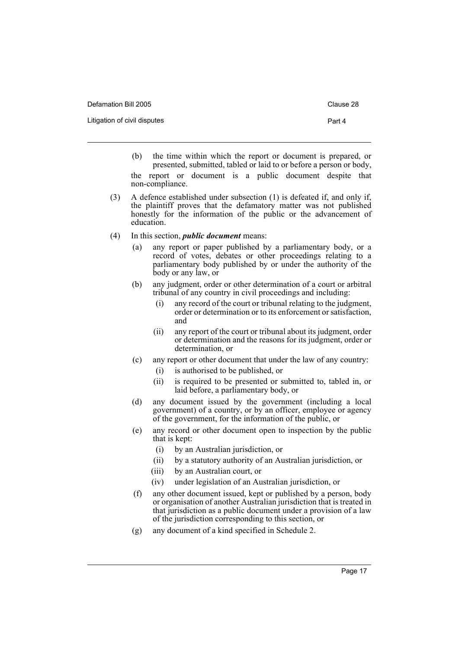| Defamation Bill 2005         | Clause 28 |
|------------------------------|-----------|
| Litigation of civil disputes | Part 4    |
|                              |           |

- (b) the time within which the report or document is prepared, or presented, submitted, tabled or laid to or before a person or body, the report or document is a public document despite that non-compliance.
- (3) A defence established under subsection (1) is defeated if, and only if, the plaintiff proves that the defamatory matter was not published honestly for the information of the public or the advancement of education.
- (4) In this section, *public document* means:
	- (a) any report or paper published by a parliamentary body, or a record of votes, debates or other proceedings relating to a parliamentary body published by or under the authority of the body or any law, or
	- (b) any judgment, order or other determination of a court or arbitral tribunal of any country in civil proceedings and including:
		- (i) any record of the court or tribunal relating to the judgment, order or determination or to its enforcement or satisfaction, and
		- (ii) any report of the court or tribunal about its judgment, order or determination and the reasons for its judgment, order or determination, or
	- (c) any report or other document that under the law of any country:
		- (i) is authorised to be published, or
		- (ii) is required to be presented or submitted to, tabled in, or laid before, a parliamentary body, or
	- (d) any document issued by the government (including a local government) of a country, or by an officer, employee or agency of the government, for the information of the public, or
	- (e) any record or other document open to inspection by the public that is kept:
		- (i) by an Australian jurisdiction, or
		- (ii) by a statutory authority of an Australian jurisdiction, or
		- (iii) by an Australian court, or
		- (iv) under legislation of an Australian jurisdiction, or
	- (f) any other document issued, kept or published by a person, body or organisation of another Australian jurisdiction that is treated in that jurisdiction as a public document under a provision of a law of the jurisdiction corresponding to this section, or
	- (g) any document of a kind specified in Schedule 2.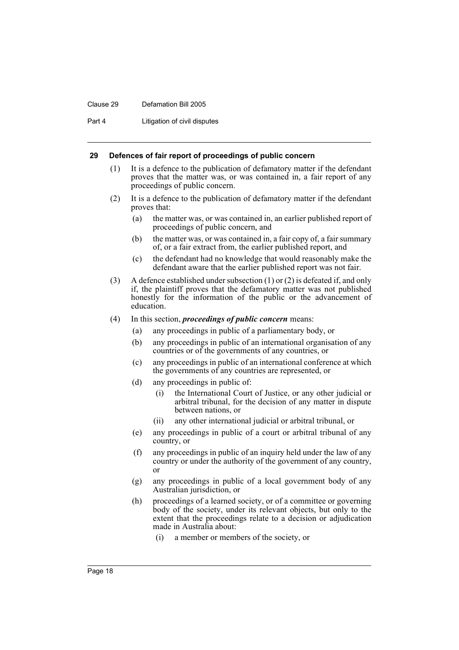#### Clause 29 Defamation Bill 2005

Part 4 **Litigation of civil disputes** 

#### **29 Defences of fair report of proceedings of public concern**

- (1) It is a defence to the publication of defamatory matter if the defendant proves that the matter was, or was contained in, a fair report of any proceedings of public concern.
- (2) It is a defence to the publication of defamatory matter if the defendant proves that:
	- (a) the matter was, or was contained in, an earlier published report of proceedings of public concern, and
	- (b) the matter was, or was contained in, a fair copy of, a fair summary of, or a fair extract from, the earlier published report, and
	- (c) the defendant had no knowledge that would reasonably make the defendant aware that the earlier published report was not fair.
- (3) A defence established under subsection (1) or (2) is defeated if, and only if, the plaintiff proves that the defamatory matter was not published honestly for the information of the public or the advancement of education.
- (4) In this section, *proceedings of public concern* means:
	- (a) any proceedings in public of a parliamentary body, or
	- (b) any proceedings in public of an international organisation of any countries or of the governments of any countries, or
	- (c) any proceedings in public of an international conference at which the governments of any countries are represented, or
	- (d) any proceedings in public of:
		- (i) the International Court of Justice, or any other judicial or arbitral tribunal, for the decision of any matter in dispute between nations, or
		- (ii) any other international judicial or arbitral tribunal, or
	- (e) any proceedings in public of a court or arbitral tribunal of any country, or
	- (f) any proceedings in public of an inquiry held under the law of any country or under the authority of the government of any country, or
	- (g) any proceedings in public of a local government body of any Australian jurisdiction, or
	- (h) proceedings of a learned society, or of a committee or governing body of the society, under its relevant objects, but only to the extent that the proceedings relate to a decision or adjudication made in Australia about:
		- (i) a member or members of the society, or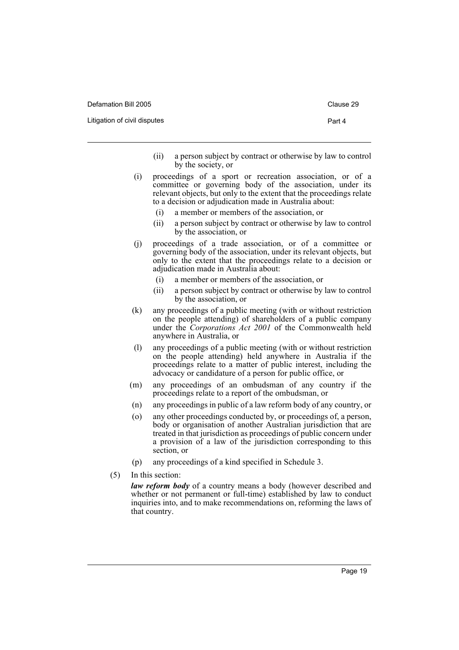Defamation Bill 2005 Clause 29

Litigation of civil disputes **Part 4** 

- (ii) a person subject by contract or otherwise by law to control by the society, or
- (i) proceedings of a sport or recreation association, or of a committee or governing body of the association, under its relevant objects, but only to the extent that the proceedings relate to a decision or adjudication made in Australia about:
	- (i) a member or members of the association, or
	- (ii) a person subject by contract or otherwise by law to control by the association, or
- (j) proceedings of a trade association, or of a committee or governing body of the association, under its relevant objects, but only to the extent that the proceedings relate to a decision or adjudication made in Australia about:
	- (i) a member or members of the association, or
	- (ii) a person subject by contract or otherwise by law to control by the association, or
- (k) any proceedings of a public meeting (with or without restriction on the people attending) of shareholders of a public company under the *Corporations Act 2001* of the Commonwealth held anywhere in Australia, or
- (l) any proceedings of a public meeting (with or without restriction on the people attending) held anywhere in Australia if the proceedings relate to a matter of public interest, including the advocacy or candidature of a person for public office, or
- (m) any proceedings of an ombudsman of any country if the proceedings relate to a report of the ombudsman, or
- (n) any proceedings in public of a law reform body of any country, or
- (o) any other proceedings conducted by, or proceedings of, a person, body or organisation of another Australian jurisdiction that are treated in that jurisdiction as proceedings of public concern under a provision of a law of the jurisdiction corresponding to this section, or
- (p) any proceedings of a kind specified in Schedule 3.
- (5) In this section:

*law reform body* of a country means a body (however described and whether or not permanent or full-time) established by law to conduct inquiries into, and to make recommendations on, reforming the laws of that country.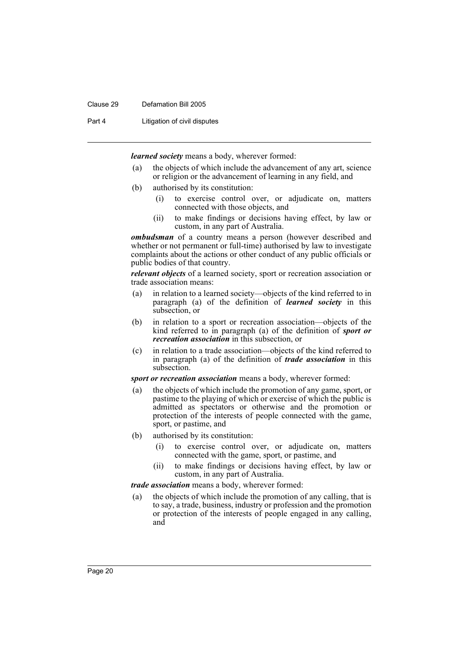#### Clause 29 Defamation Bill 2005

Part 4 Litigation of civil disputes

*learned society* means a body, wherever formed:

- (a) the objects of which include the advancement of any art, science or religion or the advancement of learning in any field, and
- (b) authorised by its constitution:
	- (i) to exercise control over, or adjudicate on, matters connected with those objects, and
	- (ii) to make findings or decisions having effect, by law or custom, in any part of Australia.

*ombudsman* of a country means a person (however described and whether or not permanent or full-time) authorised by law to investigate complaints about the actions or other conduct of any public officials or public bodies of that country.

*relevant objects* of a learned society, sport or recreation association or trade association means:

- (a) in relation to a learned society—objects of the kind referred to in paragraph (a) of the definition of *learned society* in this subsection, or
- (b) in relation to a sport or recreation association—objects of the kind referred to in paragraph (a) of the definition of *sport or recreation association* in this subsection, or
- (c) in relation to a trade association—objects of the kind referred to in paragraph (a) of the definition of *trade association* in this subsection.

*sport or recreation association* means a body, wherever formed:

- (a) the objects of which include the promotion of any game, sport, or pastime to the playing of which or exercise of which the public is admitted as spectators or otherwise and the promotion or protection of the interests of people connected with the game, sport, or pastime, and
- (b) authorised by its constitution:
	- (i) to exercise control over, or adjudicate on, matters connected with the game, sport, or pastime, and
	- (ii) to make findings or decisions having effect, by law or custom, in any part of Australia.
- *trade association* means a body, wherever formed:
- (a) the objects of which include the promotion of any calling, that is to say, a trade, business, industry or profession and the promotion or protection of the interests of people engaged in any calling, and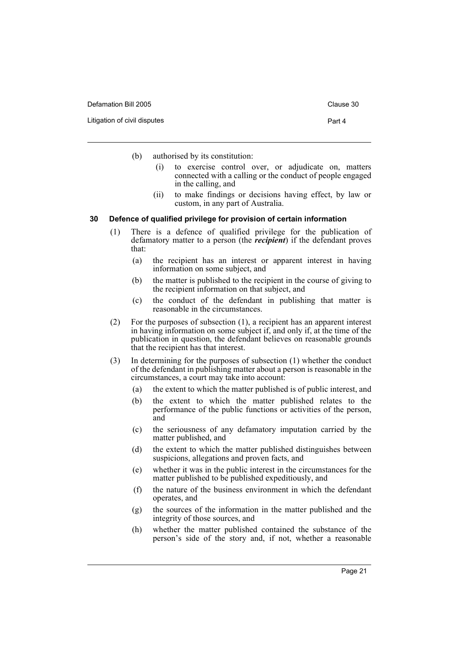| Defamation Bill 2005 |  |
|----------------------|--|
|----------------------|--|

(b) authorised by its constitution:

- (i) to exercise control over, or adjudicate on, matters connected with a calling or the conduct of people engaged in the calling, and
- (ii) to make findings or decisions having effect, by law or custom, in any part of Australia.

#### **30 Defence of qualified privilege for provision of certain information**

- (1) There is a defence of qualified privilege for the publication of defamatory matter to a person (the *recipient*) if the defendant proves that:
	- (a) the recipient has an interest or apparent interest in having information on some subject, and
	- (b) the matter is published to the recipient in the course of giving to the recipient information on that subject, and
	- (c) the conduct of the defendant in publishing that matter is reasonable in the circumstances.
- (2) For the purposes of subsection (1), a recipient has an apparent interest in having information on some subject if, and only if, at the time of the publication in question, the defendant believes on reasonable grounds that the recipient has that interest.
- (3) In determining for the purposes of subsection (1) whether the conduct of the defendant in publishing matter about a person is reasonable in the circumstances, a court may take into account:
	- (a) the extent to which the matter published is of public interest, and
	- (b) the extent to which the matter published relates to the performance of the public functions or activities of the person, and
	- (c) the seriousness of any defamatory imputation carried by the matter published, and
	- (d) the extent to which the matter published distinguishes between suspicions, allegations and proven facts, and
	- (e) whether it was in the public interest in the circumstances for the matter published to be published expeditiously, and
	- (f) the nature of the business environment in which the defendant operates, and
	- (g) the sources of the information in the matter published and the integrity of those sources, and
	- (h) whether the matter published contained the substance of the person's side of the story and, if not, whether a reasonable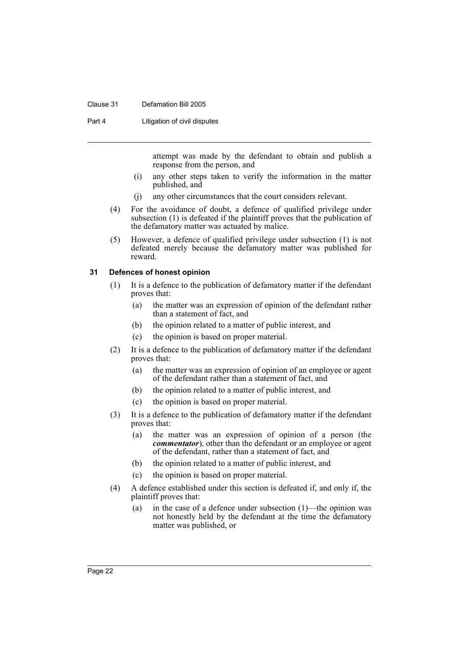#### Clause 31 Defamation Bill 2005

Part 4 **Litigation of civil disputes** 

attempt was made by the defendant to obtain and publish a response from the person, and

- (i) any other steps taken to verify the information in the matter published, and
- (j) any other circumstances that the court considers relevant.
- (4) For the avoidance of doubt, a defence of qualified privilege under subsection (1) is defeated if the plaintiff proves that the publication of the defamatory matter was actuated by malice.
- (5) However, a defence of qualified privilege under subsection (1) is not defeated merely because the defamatory matter was published for reward.

## **31 Defences of honest opinion**

- (1) It is a defence to the publication of defamatory matter if the defendant proves that:
	- (a) the matter was an expression of opinion of the defendant rather than a statement of fact, and
	- (b) the opinion related to a matter of public interest, and
	- (c) the opinion is based on proper material.
- (2) It is a defence to the publication of defamatory matter if the defendant proves that:
	- (a) the matter was an expression of opinion of an employee or agent of the defendant rather than a statement of fact, and
	- (b) the opinion related to a matter of public interest, and
	- (c) the opinion is based on proper material.
- (3) It is a defence to the publication of defamatory matter if the defendant proves that:
	- (a) the matter was an expression of opinion of a person (the *commentator*), other than the defendant or an employee or agent of the defendant, rather than a statement of fact, and
	- (b) the opinion related to a matter of public interest, and
	- (c) the opinion is based on proper material.
- (4) A defence established under this section is defeated if, and only if, the plaintiff proves that:
	- (a) in the case of a defence under subsection (1)—the opinion was not honestly held by the defendant at the time the defamatory matter was published, or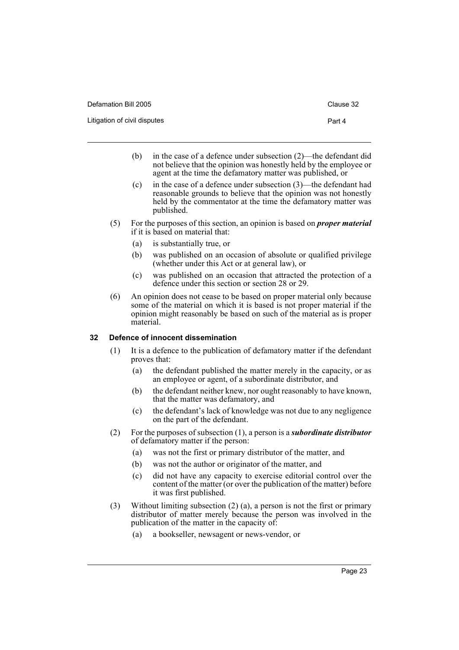| Defamation Bill 2005         | Clause 32 |
|------------------------------|-----------|
| Litigation of civil disputes | Part 4    |

- (b) in the case of a defence under subsection (2)—the defendant did not believe that the opinion was honestly held by the employee or agent at the time the defamatory matter was published, or
- (c) in the case of a defence under subsection (3)—the defendant had reasonable grounds to believe that the opinion was not honestly held by the commentator at the time the defamatory matter was published.
- (5) For the purposes of this section, an opinion is based on *proper material* if it is based on material that:
	- (a) is substantially true, or
	- (b) was published on an occasion of absolute or qualified privilege (whether under this Act or at general law), or
	- (c) was published on an occasion that attracted the protection of a defence under this section or section 28 or 29.
- (6) An opinion does not cease to be based on proper material only because some of the material on which it is based is not proper material if the opinion might reasonably be based on such of the material as is proper material.

# **32 Defence of innocent dissemination**

- (1) It is a defence to the publication of defamatory matter if the defendant proves that:
	- (a) the defendant published the matter merely in the capacity, or as an employee or agent, of a subordinate distributor, and
	- (b) the defendant neither knew, nor ought reasonably to have known, that the matter was defamatory, and
	- (c) the defendant's lack of knowledge was not due to any negligence on the part of the defendant.
- (2) For the purposes of subsection (1), a person is a *subordinate distributor* of defamatory matter if the person:
	- (a) was not the first or primary distributor of the matter, and
	- (b) was not the author or originator of the matter, and
	- (c) did not have any capacity to exercise editorial control over the content of the matter (or over the publication of the matter) before it was first published.
- (3) Without limiting subsection (2) (a), a person is not the first or primary distributor of matter merely because the person was involved in the publication of the matter in the capacity of:
	- (a) a bookseller, newsagent or news-vendor, or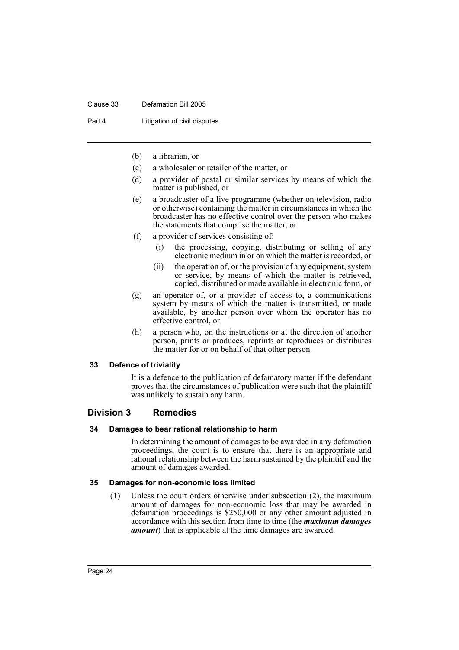#### Clause 33 Defamation Bill 2005

Part 4 **Litigation of civil disputes** 

- (b) a librarian, or
- (c) a wholesaler or retailer of the matter, or
- (d) a provider of postal or similar services by means of which the matter is published, or
- (e) a broadcaster of a live programme (whether on television, radio or otherwise) containing the matter in circumstances in which the broadcaster has no effective control over the person who makes the statements that comprise the matter, or
- (f) a provider of services consisting of:
	- (i) the processing, copying, distributing or selling of any electronic medium in or on which the matter is recorded, or
	- (ii) the operation of, or the provision of any equipment, system or service, by means of which the matter is retrieved, copied, distributed or made available in electronic form, or
- (g) an operator of, or a provider of access to, a communications system by means of which the matter is transmitted, or made available, by another person over whom the operator has no effective control, or
- (h) a person who, on the instructions or at the direction of another person, prints or produces, reprints or reproduces or distributes the matter for or on behalf of that other person.

#### **33 Defence of triviality**

It is a defence to the publication of defamatory matter if the defendant proves that the circumstances of publication were such that the plaintiff was unlikely to sustain any harm.

# **Division 3 Remedies**

#### **34 Damages to bear rational relationship to harm**

In determining the amount of damages to be awarded in any defamation proceedings, the court is to ensure that there is an appropriate and rational relationship between the harm sustained by the plaintiff and the amount of damages awarded.

#### **35 Damages for non-economic loss limited**

(1) Unless the court orders otherwise under subsection (2), the maximum amount of damages for non-economic loss that may be awarded in defamation proceedings is \$250,000 or any other amount adjusted in accordance with this section from time to time (the *maximum damages amount*) that is applicable at the time damages are awarded.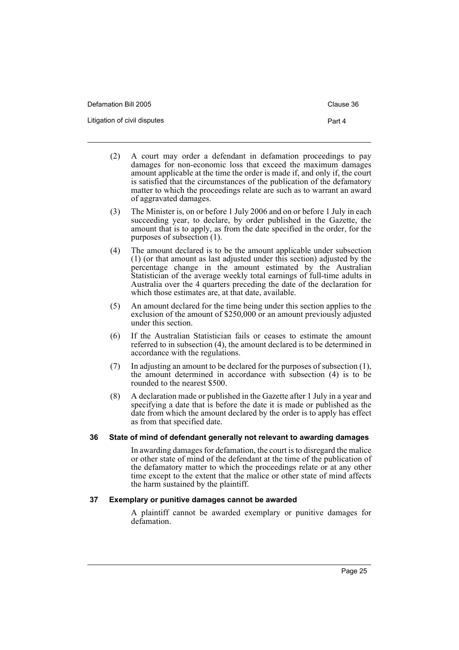| Defamation Bill 2005         | Clause 36 |
|------------------------------|-----------|
| Litigation of civil disputes | Part 4    |

- (2) A court may order a defendant in defamation proceedings to pay damages for non-economic loss that exceed the maximum damages amount applicable at the time the order is made if, and only if, the court is satisfied that the circumstances of the publication of the defamatory matter to which the proceedings relate are such as to warrant an award of aggravated damages.
- (3) The Minister is, on or before 1 July 2006 and on or before 1 July in each succeeding year, to declare, by order published in the Gazette, the amount that is to apply, as from the date specified in the order, for the purposes of subsection (1).
- (4) The amount declared is to be the amount applicable under subsection (1) (or that amount as last adjusted under this section) adjusted by the percentage change in the amount estimated by the Australian Statistician of the average weekly total earnings of full-time adults in Australia over the 4 quarters preceding the date of the declaration for which those estimates are, at that date, available.
- (5) An amount declared for the time being under this section applies to the exclusion of the amount of \$250,000 or an amount previously adjusted under this section.
- (6) If the Australian Statistician fails or ceases to estimate the amount referred to in subsection (4), the amount declared is to be determined in accordance with the regulations.
- (7) In adjusting an amount to be declared for the purposes of subsection (1), the amount determined in accordance with subsection (4) is to be rounded to the nearest \$500.
- (8) A declaration made or published in the Gazette after 1 July in a year and specifying a date that is before the date it is made or published as the date from which the amount declared by the order is to apply has effect as from that specified date.

# **36 State of mind of defendant generally not relevant to awarding damages**

In awarding damages for defamation, the court is to disregard the malice or other state of mind of the defendant at the time of the publication of the defamatory matter to which the proceedings relate or at any other time except to the extent that the malice or other state of mind affects the harm sustained by the plaintiff.

# **37 Exemplary or punitive damages cannot be awarded**

A plaintiff cannot be awarded exemplary or punitive damages for defamation.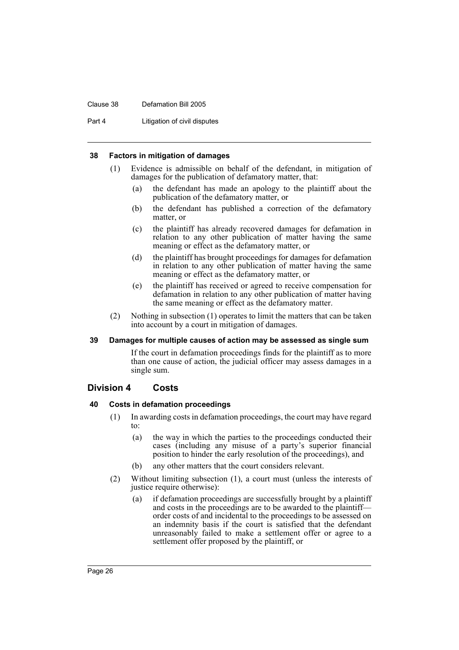#### Clause 38 Defamation Bill 2005

Part 4 **Litigation of civil disputes** 

#### **38 Factors in mitigation of damages**

- (1) Evidence is admissible on behalf of the defendant, in mitigation of damages for the publication of defamatory matter, that:
	- (a) the defendant has made an apology to the plaintiff about the publication of the defamatory matter, or
	- (b) the defendant has published a correction of the defamatory matter, or
	- (c) the plaintiff has already recovered damages for defamation in relation to any other publication of matter having the same meaning or effect as the defamatory matter, or
	- (d) the plaintiff has brought proceedings for damages for defamation in relation to any other publication of matter having the same meaning or effect as the defamatory matter, or
	- (e) the plaintiff has received or agreed to receive compensation for defamation in relation to any other publication of matter having the same meaning or effect as the defamatory matter.
- (2) Nothing in subsection (1) operates to limit the matters that can be taken into account by a court in mitigation of damages.

#### **39 Damages for multiple causes of action may be assessed as single sum**

If the court in defamation proceedings finds for the plaintiff as to more than one cause of action, the judicial officer may assess damages in a single sum.

#### **Division 4 Costs**

#### **40 Costs in defamation proceedings**

- (1) In awarding costs in defamation proceedings, the court may have regard to:
	- (a) the way in which the parties to the proceedings conducted their cases (including any misuse of a party's superior financial position to hinder the early resolution of the proceedings), and
	- (b) any other matters that the court considers relevant.
- (2) Without limiting subsection (1), a court must (unless the interests of justice require otherwise):
	- (a) if defamation proceedings are successfully brought by a plaintiff and costs in the proceedings are to be awarded to the plaintiff order costs of and incidental to the proceedings to be assessed on an indemnity basis if the court is satisfied that the defendant unreasonably failed to make a settlement offer or agree to a settlement offer proposed by the plaintiff, or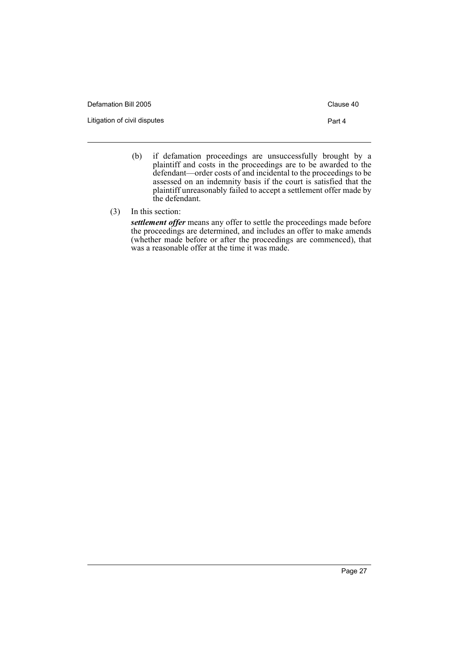| Defamation Bill 2005         | Clause 40 |
|------------------------------|-----------|
| Litigation of civil disputes | Part 4    |
|                              |           |

- (b) if defamation proceedings are unsuccessfully brought by a plaintiff and costs in the proceedings are to be awarded to the defendant—order costs of and incidental to the proceedings to be assessed on an indemnity basis if the court is satisfied that the plaintiff unreasonably failed to accept a settlement offer made by the defendant.
- (3) In this section:

*settlement offer* means any offer to settle the proceedings made before the proceedings are determined, and includes an offer to make amends (whether made before or after the proceedings are commenced), that was a reasonable offer at the time it was made.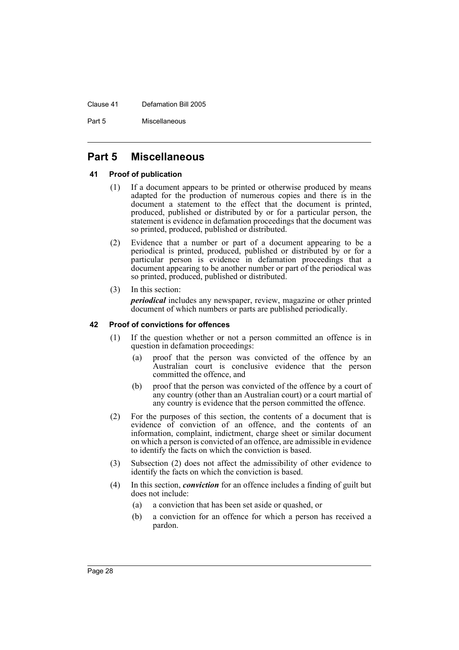Clause 41 Defamation Bill 2005

Part 5 Miscellaneous

# **Part 5 Miscellaneous**

# **41 Proof of publication**

- (1) If a document appears to be printed or otherwise produced by means adapted for the production of numerous copies and there is in the document a statement to the effect that the document is printed, produced, published or distributed by or for a particular person, the statement is evidence in defamation proceedings that the document was so printed, produced, published or distributed.
- (2) Evidence that a number or part of a document appearing to be a periodical is printed, produced, published or distributed by or for a particular person is evidence in defamation proceedings that a document appearing to be another number or part of the periodical was so printed, produced, published or distributed.
- (3) In this section: *periodical* includes any newspaper, review, magazine or other printed document of which numbers or parts are published periodically.

## **42 Proof of convictions for offences**

- (1) If the question whether or not a person committed an offence is in question in defamation proceedings:
	- (a) proof that the person was convicted of the offence by an Australian court is conclusive evidence that the person committed the offence, and
	- (b) proof that the person was convicted of the offence by a court of any country (other than an Australian court) or a court martial of any country is evidence that the person committed the offence.
- (2) For the purposes of this section, the contents of a document that is evidence of conviction of an offence, and the contents of an information, complaint, indictment, charge sheet or similar document on which a person is convicted of an offence, are admissible in evidence to identify the facts on which the conviction is based.
- (3) Subsection (2) does not affect the admissibility of other evidence to identify the facts on which the conviction is based.
- (4) In this section, *conviction* for an offence includes a finding of guilt but does not include:
	- (a) a conviction that has been set aside or quashed, or
	- (b) a conviction for an offence for which a person has received a pardon.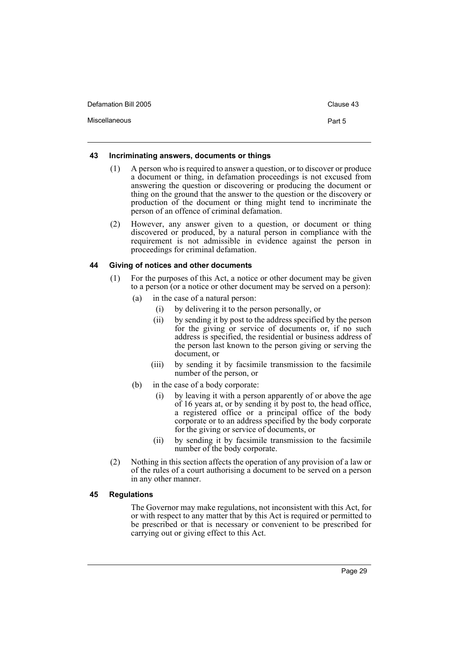| Defamation Bill 2005 | Clause 43 |
|----------------------|-----------|
| Miscellaneous        | Part 5    |

#### **43 Incriminating answers, documents or things**

- (1) A person who is required to answer a question, or to discover or produce a document or thing, in defamation proceedings is not excused from answering the question or discovering or producing the document or thing on the ground that the answer to the question or the discovery or production of the document or thing might tend to incriminate the person of an offence of criminal defamation.
- (2) However, any answer given to a question, or document or thing discovered or produced, by a natural person in compliance with the requirement is not admissible in evidence against the person in proceedings for criminal defamation.

## **44 Giving of notices and other documents**

- (1) For the purposes of this Act, a notice or other document may be given to a person (or a notice or other document may be served on a person):
	- (a) in the case of a natural person:
		- (i) by delivering it to the person personally, or
		- (ii) by sending it by post to the address specified by the person for the giving or service of documents or, if no such address is specified, the residential or business address of the person last known to the person giving or serving the document, or
		- (iii) by sending it by facsimile transmission to the facsimile number of the person, or
	- (b) in the case of a body corporate:
		- (i) by leaving it with a person apparently of or above the age of 16 years at, or by sending it by post to, the head office, a registered office or a principal office of the body corporate or to an address specified by the body corporate for the giving or service of documents, or
		- (ii) by sending it by facsimile transmission to the facsimile number of the body corporate.
- (2) Nothing in this section affects the operation of any provision of a law or of the rules of a court authorising a document to be served on a person in any other manner.

# **45 Regulations**

The Governor may make regulations, not inconsistent with this Act, for or with respect to any matter that by this Act is required or permitted to be prescribed or that is necessary or convenient to be prescribed for carrying out or giving effect to this Act.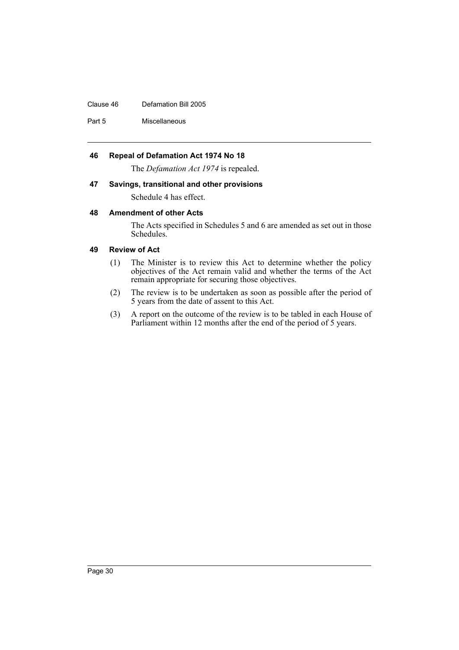#### Clause 46 Defamation Bill 2005

Part 5 Miscellaneous

## **46 Repeal of Defamation Act 1974 No 18**

The *Defamation Act 1974* is repealed.

#### **47 Savings, transitional and other provisions**

Schedule 4 has effect.

### **48 Amendment of other Acts**

The Acts specified in Schedules 5 and 6 are amended as set out in those Schedules.

### **49 Review of Act**

- (1) The Minister is to review this Act to determine whether the policy objectives of the Act remain valid and whether the terms of the Act remain appropriate for securing those objectives.
- (2) The review is to be undertaken as soon as possible after the period of 5 years from the date of assent to this Act.
- (3) A report on the outcome of the review is to be tabled in each House of Parliament within 12 months after the end of the period of 5 years.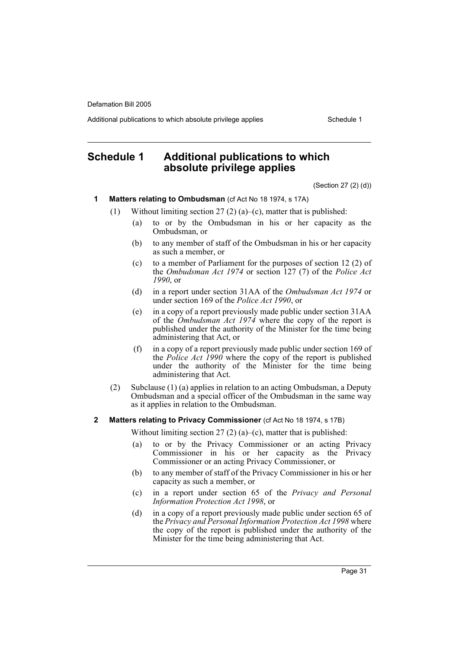Additional publications to which absolute privilege applies Schedule 1

# **Schedule 1 Additional publications to which absolute privilege applies**

(Section 27 (2) (d))

- **1 Matters relating to Ombudsman** (cf Act No 18 1974, s 17A)
	- (1) Without limiting section 27 (2) (a)–(c), matter that is published:
		- (a) to or by the Ombudsman in his or her capacity as the Ombudsman, or
		- (b) to any member of staff of the Ombudsman in his or her capacity as such a member, or
		- (c) to a member of Parliament for the purposes of section 12 (2) of the *Ombudsman Act 1974* or section 127 (7) of the *Police Act 1990*, or
		- (d) in a report under section 31AA of the *Ombudsman Act 1974* or under section 169 of the *Police Act 1990*, or
		- (e) in a copy of a report previously made public under section 31AA of the *Ombudsman Act 1974* where the copy of the report is published under the authority of the Minister for the time being administering that Act, or
		- (f) in a copy of a report previously made public under section 169 of the *Police Act 1990* where the copy of the report is published under the authority of the Minister for the time being administering that Act.
	- (2) Subclause (1) (a) applies in relation to an acting Ombudsman, a Deputy Ombudsman and a special officer of the Ombudsman in the same way as it applies in relation to the Ombudsman.
- **2 Matters relating to Privacy Commissioner** (cf Act No 18 1974, s 17B)

Without limiting section 27 (2) (a)–(c), matter that is published:

- (a) to or by the Privacy Commissioner or an acting Privacy Commissioner in his or her capacity as the Privacy Commissioner or an acting Privacy Commissioner, or
- (b) to any member of staff of the Privacy Commissioner in his or her capacity as such a member, or
- (c) in a report under section 65 of the *Privacy and Personal Information Protection Act 1998*, or
- (d) in a copy of a report previously made public under section 65 of the *Privacy and Personal Information Protection Act 1998* where the copy of the report is published under the authority of the Minister for the time being administering that Act.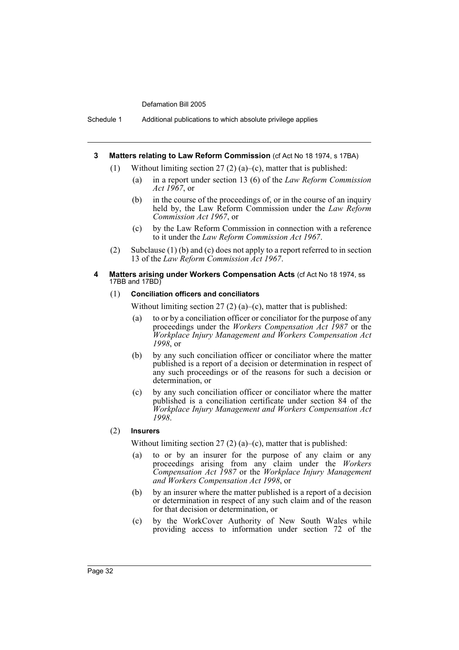Schedule 1 Additional publications to which absolute privilege applies

#### **3 Matters relating to Law Reform Commission** (cf Act No 18 1974, s 17BA)

- (1) Without limiting section  $27(2)$  (a)–(c), matter that is published:
	- (a) in a report under section 13 (6) of the *Law Reform Commission Act 1967*, or
	- (b) in the course of the proceedings of, or in the course of an inquiry held by, the Law Reform Commission under the *Law Reform Commission Act 1967*, or
	- (c) by the Law Reform Commission in connection with a reference to it under the *Law Reform Commission Act 1967*.
- (2) Subclause (1) (b) and (c) does not apply to a report referred to in section 13 of the *Law Reform Commission Act 1967*.
- **4 Matters arising under Workers Compensation Acts** (cf Act No 18 1974, ss 17BB and 17BD)

#### (1) **Conciliation officers and conciliators**

Without limiting section 27 (2) (a)–(c), matter that is published:

- (a) to or by a conciliation officer or conciliator for the purpose of any proceedings under the *Workers Compensation Act 1987* or the *Workplace Injury Management and Workers Compensation Act 1998*, or
- (b) by any such conciliation officer or conciliator where the matter published is a report of a decision or determination in respect of any such proceedings or of the reasons for such a decision or determination, or
- (c) by any such conciliation officer or conciliator where the matter published is a conciliation certificate under section 84 of the *Workplace Injury Management and Workers Compensation Act 1998*.

#### (2) **Insurers**

Without limiting section 27 (2) (a)–(c), matter that is published:

- (a) to or by an insurer for the purpose of any claim or any proceedings arising from any claim under the *Workers Compensation Act 1987* or the *Workplace Injury Management and Workers Compensation Act 1998*, or
- (b) by an insurer where the matter published is a report of a decision or determination in respect of any such claim and of the reason for that decision or determination, or
- (c) by the WorkCover Authority of New South Wales while providing access to information under section 72 of the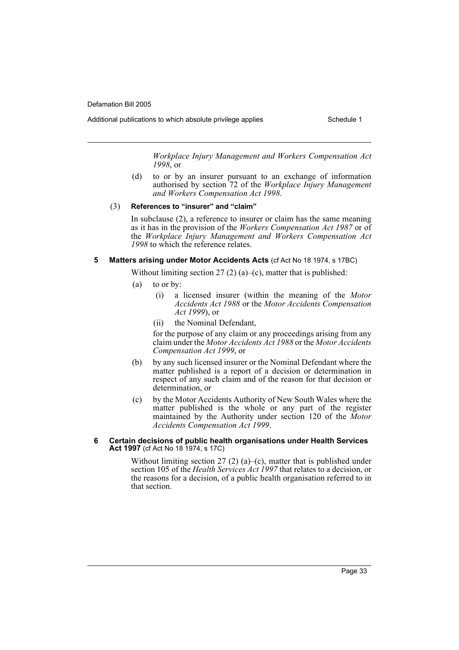Additional publications to which absolute privilege applies Schedule 1

*Workplace Injury Management and Workers Compensation Act 1998*, or

(d) to or by an insurer pursuant to an exchange of information authorised by section 72 of the *Workplace Injury Management and Workers Compensation Act 1998*.

#### (3) **References to "insurer" and "claim"**

In subclause (2), a reference to insurer or claim has the same meaning as it has in the provision of the *Workers Compensation Act 1987* or of the *Workplace Injury Management and Workers Compensation Act 1998* to which the reference relates.

### **5 Matters arising under Motor Accidents Acts** (cf Act No 18 1974, s 17BC)

Without limiting section 27 (2) (a)–(c), matter that is published:

- (a) to or by:
	- (i) a licensed insurer (within the meaning of the *Motor Accidents Act 1988* or the *Motor Accidents Compensation Act 1999*), or
	- (ii) the Nominal Defendant,

for the purpose of any claim or any proceedings arising from any claim under the *Motor Accidents Act 1988* or the *Motor Accidents Compensation Act 1999*, or

- (b) by any such licensed insurer or the Nominal Defendant where the matter published is a report of a decision or determination in respect of any such claim and of the reason for that decision or determination, or
- (c) by the Motor Accidents Authority of New South Wales where the matter published is the whole or any part of the register maintained by the Authority under section 120 of the *Motor Accidents Compensation Act 1999*.

#### **6 Certain decisions of public health organisations under Health Services Act 1997** (cf Act No 18 1974, s 17C)

Without limiting section 27 (2) (a)–(c), matter that is published under section 105 of the *Health Services Act 1997* that relates to a decision, or the reasons for a decision, of a public health organisation referred to in that section.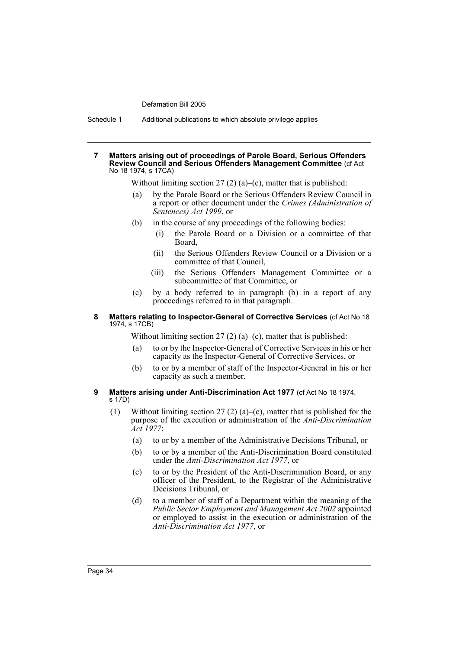Schedule 1 Additional publications to which absolute privilege applies

#### **7 Matters arising out of proceedings of Parole Board, Serious Offenders Review Council and Serious Offenders Management Committee** (cf Act No 18 1974, s 17CA)

Without limiting section 27 (2) (a)–(c), matter that is published:

- by the Parole Board or the Serious Offenders Review Council in a report or other document under the *Crimes (Administration of Sentences) Act 1999*, or
- (b) in the course of any proceedings of the following bodies:
	- (i) the Parole Board or a Division or a committee of that Board,
	- (ii) the Serious Offenders Review Council or a Division or a committee of that Council,
	- (iii) the Serious Offenders Management Committee or a subcommittee of that Committee, or
- (c) by a body referred to in paragraph (b) in a report of any proceedings referred to in that paragraph.

### **8 Matters relating to Inspector-General of Corrective Services** (cf Act No 18 1974, s 17CB)

Without limiting section 27 (2) (a)–(c), matter that is published:

- (a) to or by the Inspector-General of Corrective Services in his or her capacity as the Inspector-General of Corrective Services, or
- (b) to or by a member of staff of the Inspector-General in his or her capacity as such a member.
- **9 Matters arising under Anti-Discrimination Act 1977** (cf Act No 18 1974, s 17D)
	- (1) Without limiting section 27 (2) (a)–(c), matter that is published for the purpose of the execution or administration of the *Anti-Discrimination Act 1977*:
		- (a) to or by a member of the Administrative Decisions Tribunal, or
		- (b) to or by a member of the Anti-Discrimination Board constituted under the *Anti-Discrimination Act 1977*, or
		- (c) to or by the President of the Anti-Discrimination Board, or any officer of the President, to the Registrar of the Administrative Decisions Tribunal, or
		- (d) to a member of staff of a Department within the meaning of the *Public Sector Employment and Management Act 2002* appointed or employed to assist in the execution or administration of the *Anti-Discrimination Act 1977*, or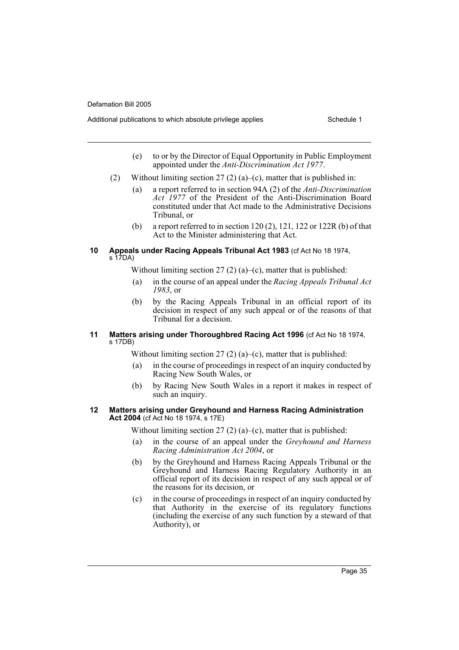Additional publications to which absolute privilege applies Schedule 1

- (e) to or by the Director of Equal Opportunity in Public Employment appointed under the *Anti-Discrimination Act 1977*.
- (2) Without limiting section 27 (2) (a)–(c), matter that is published in:
	- (a) a report referred to in section 94A (2) of the *Anti-Discrimination Act 1977* of the President of the Anti-Discrimination Board constituted under that Act made to the Administrative Decisions Tribunal, or
	- (b) a report referred to in section  $120(2)$ ,  $121$ ,  $122$  or  $122R$  (b) of that Act to the Minister administering that Act.

### **10 Appeals under Racing Appeals Tribunal Act 1983** (cf Act No 18 1974, s 17DA)

Without limiting section 27 (2) (a)–(c), matter that is published:

- (a) in the course of an appeal under the *Racing Appeals Tribunal Act 1983*, or
- (b) by the Racing Appeals Tribunal in an official report of its decision in respect of any such appeal or of the reasons of that Tribunal for a decision.

### **11 Matters arising under Thoroughbred Racing Act 1996** (cf Act No 18 1974, s 17DB)

Without limiting section 27 (2) (a)–(c), matter that is published:

- (a) in the course of proceedings in respect of an inquiry conducted by Racing New South Wales, or
- (b) by Racing New South Wales in a report it makes in respect of such an inquiry.

# **12 Matters arising under Greyhound and Harness Racing Administration Act 2004** (cf Act No 18 1974, s 17E)

Without limiting section 27 (2) (a)–(c), matter that is published:

- (a) in the course of an appeal under the *Greyhound and Harness Racing Administration Act 2004*, or
- (b) by the Greyhound and Harness Racing Appeals Tribunal or the Greyhound and Harness Racing Regulatory Authority in an official report of its decision in respect of any such appeal or of the reasons for its decision, or
- (c) in the course of proceedings in respect of an inquiry conducted by that Authority in the exercise of its regulatory functions (including the exercise of any such function by a steward of that Authority), or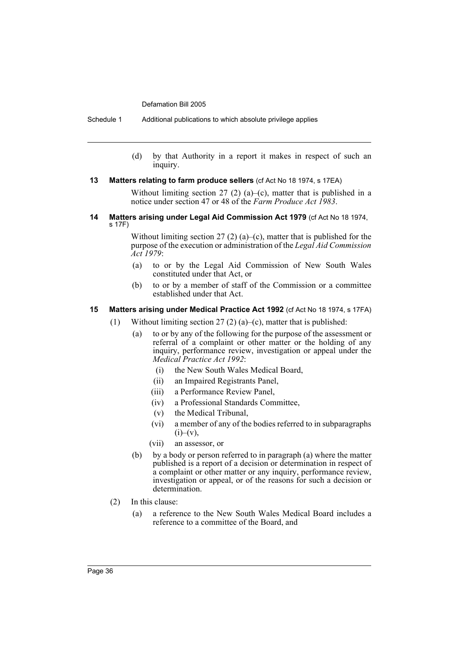Schedule 1 Additional publications to which absolute privilege applies

(d) by that Authority in a report it makes in respect of such an inquiry.

### **13 Matters relating to farm produce sellers** (cf Act No 18 1974, s 17EA)

Without limiting section  $27$  (2) (a)–(c), matter that is published in a notice under section 47 or 48 of the *Farm Produce Act 1983*.

**14 Matters arising under Legal Aid Commission Act 1979** (cf Act No 18 1974, s 17F)

> Without limiting section  $27(2)(a)-(c)$ , matter that is published for the purpose of the execution or administration of the *Legal Aid Commission Act 1979*:

- (a) to or by the Legal Aid Commission of New South Wales constituted under that Act, or
- (b) to or by a member of staff of the Commission or a committee established under that Act.

### **15 Matters arising under Medical Practice Act 1992** (cf Act No 18 1974, s 17FA)

- (1) Without limiting section 27 (2) (a)–(c), matter that is published:
	- (a) to or by any of the following for the purpose of the assessment or referral of a complaint or other matter or the holding of any inquiry, performance review, investigation or appeal under the *Medical Practice Act 1992*:
		- (i) the New South Wales Medical Board,
		- (ii) an Impaired Registrants Panel,
		- (iii) a Performance Review Panel,
		- (iv) a Professional Standards Committee,
		- (v) the Medical Tribunal,
		- (vi) a member of any of the bodies referred to in subparagraphs  $(i)$ – $(v)$ ,
		- (vii) an assessor, or
	- (b) by a body or person referred to in paragraph (a) where the matter published is a report of a decision or determination in respect of a complaint or other matter or any inquiry, performance review, investigation or appeal, or of the reasons for such a decision or determination.
- (2) In this clause:
	- (a) a reference to the New South Wales Medical Board includes a reference to a committee of the Board, and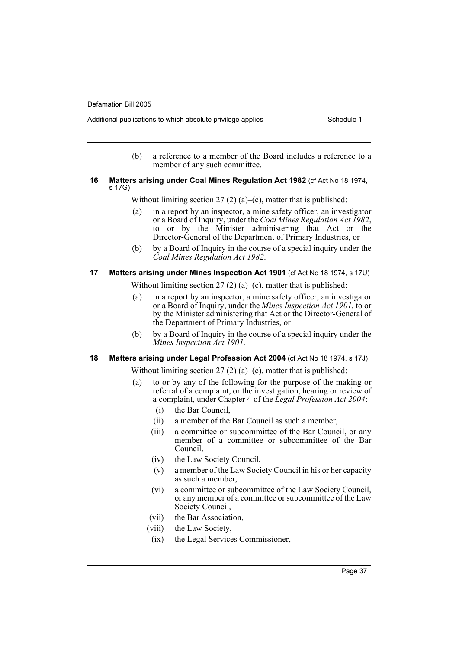Additional publications to which absolute privilege applies Schedule 1

(b) a reference to a member of the Board includes a reference to a member of any such committee.

### **16 Matters arising under Coal Mines Regulation Act 1982** (cf Act No 18 1974, s 17G)

Without limiting section 27 (2) (a)–(c), matter that is published:

- (a) in a report by an inspector, a mine safety officer, an investigator or a Board of Inquiry, under the *Coal Mines Regulation Act 1982*, to or by the Minister administering that Act or the Director-General of the Department of Primary Industries, or
- (b) by a Board of Inquiry in the course of a special inquiry under the *Coal Mines Regulation Act 1982*.

### **17 Matters arising under Mines Inspection Act 1901** (cf Act No 18 1974, s 17U)

Without limiting section 27 (2) (a)–(c), matter that is published:

- (a) in a report by an inspector, a mine safety officer, an investigator or a Board of Inquiry, under the *Mines Inspection Act 1901*, to or by the Minister administering that Act or the Director-General of the Department of Primary Industries, or
- (b) by a Board of Inquiry in the course of a special inquiry under the *Mines Inspection Act 1901*.

# **18 Matters arising under Legal Profession Act 2004** (cf Act No 18 1974, s 17J)

Without limiting section  $27(2)(a)$ –(c), matter that is published:

- (a) to or by any of the following for the purpose of the making or referral of a complaint, or the investigation, hearing or review of a complaint, under Chapter 4 of the *Legal Profession Act 2004*:
	- (i) the Bar Council,
	- (ii) a member of the Bar Council as such a member,
	- (iii) a committee or subcommittee of the Bar Council, or any member of a committee or subcommittee of the Bar Council,
	- (iv) the Law Society Council,
	- (v) a member of the Law Society Council in his or her capacity as such a member,
	- (vi) a committee or subcommittee of the Law Society Council, or any member of a committee or subcommittee of the Law Society Council,
	- (vii) the Bar Association,
	- (viii) the Law Society,
	- (ix) the Legal Services Commissioner,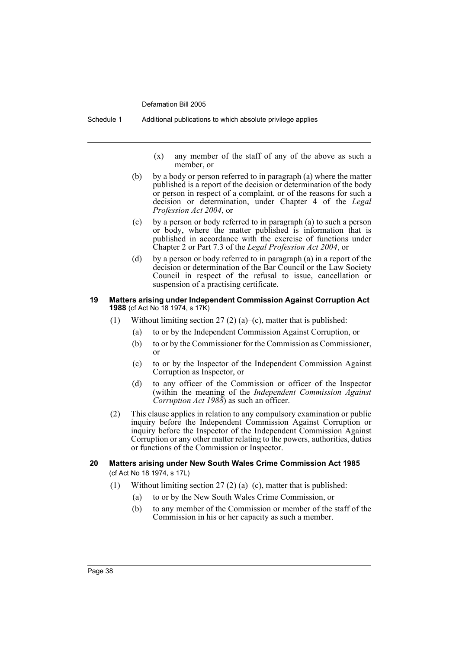Schedule 1 Additional publications to which absolute privilege applies

(x) any member of the staff of any of the above as such a member, or

- (b) by a body or person referred to in paragraph (a) where the matter published is a report of the decision or determination of the body or person in respect of a complaint, or of the reasons for such a decision or determination, under Chapter 4 of the *Legal Profession Act 2004*, or
- (c) by a person or body referred to in paragraph (a) to such a person or body, where the matter published is information that is published in accordance with the exercise of functions under Chapter 2 or Part 7.3 of the *Legal Profession Act 2004*, or
- (d) by a person or body referred to in paragraph (a) in a report of the decision or determination of the Bar Council or the Law Society Council in respect of the refusal to issue, cancellation or suspension of a practising certificate.

### **19 Matters arising under Independent Commission Against Corruption Act 1988** (cf Act No 18 1974, s 17K)

- (1) Without limiting section 27 (2) (a)–(c), matter that is published:
	- (a) to or by the Independent Commission Against Corruption, or
	- (b) to or by the Commissioner for the Commission as Commissioner, or
	- (c) to or by the Inspector of the Independent Commission Against Corruption as Inspector, or
	- (d) to any officer of the Commission or officer of the Inspector (within the meaning of the *Independent Commission Against Corruption Act 1988*) as such an officer.
- (2) This clause applies in relation to any compulsory examination or public inquiry before the Independent Commission Against Corruption or inquiry before the Inspector of the Independent Commission Against Corruption or any other matter relating to the powers, authorities, duties or functions of the Commission or Inspector.
- **20 Matters arising under New South Wales Crime Commission Act 1985**  (cf Act No 18 1974, s 17L)
	- (1) Without limiting section  $27(2)$  (a)–(c), matter that is published:
		- (a) to or by the New South Wales Crime Commission, or
		- (b) to any member of the Commission or member of the staff of the Commission in his or her capacity as such a member.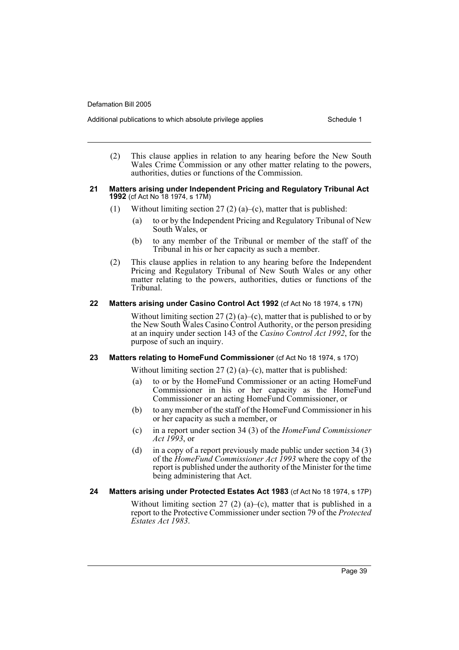Additional publications to which absolute privilege applies Schedule 1

(2) This clause applies in relation to any hearing before the New South Wales Crime Commission or any other matter relating to the powers, authorities, duties or functions of the Commission.

#### **21 Matters arising under Independent Pricing and Regulatory Tribunal Act 1992** (cf Act No 18 1974, s 17M)

- (1) Without limiting section 27 (2) (a)–(c), matter that is published:
	- (a) to or by the Independent Pricing and Regulatory Tribunal of New South Wales, or
	- (b) to any member of the Tribunal or member of the staff of the Tribunal in his or her capacity as such a member.
- (2) This clause applies in relation to any hearing before the Independent Pricing and Regulatory Tribunal of New South Wales or any other matter relating to the powers, authorities, duties or functions of the Tribunal.

### **22 Matters arising under Casino Control Act 1992** (cf Act No 18 1974, s 17N)

Without limiting section 27 (2) (a)–(c), matter that is published to or by the New South Wales Casino Control Authority, or the person presiding at an inquiry under section 143 of the *Casino Control Act 1992*, for the purpose of such an inquiry.

# **23 Matters relating to HomeFund Commissioner** (cf Act No 18 1974, s 17O)

Without limiting section 27 (2) (a)–(c), matter that is published:

- (a) to or by the HomeFund Commissioner or an acting HomeFund Commissioner in his or her capacity as the HomeFund Commissioner or an acting HomeFund Commissioner, or
- (b) to any member of the staff of the HomeFund Commissioner in his or her capacity as such a member, or
- (c) in a report under section 34 (3) of the *HomeFund Commissioner Act 1993*, or
- (d) in a copy of a report previously made public under section 34 (3) of the *HomeFund Commissioner Act 1993* where the copy of the report is published under the authority of the Minister for the time being administering that Act.

### **24 Matters arising under Protected Estates Act 1983** (cf Act No 18 1974, s 17P)

Without limiting section 27 (2) (a)–(c), matter that is published in a report to the Protective Commissioner under section 79 of the *Protected Estates Act 1983*.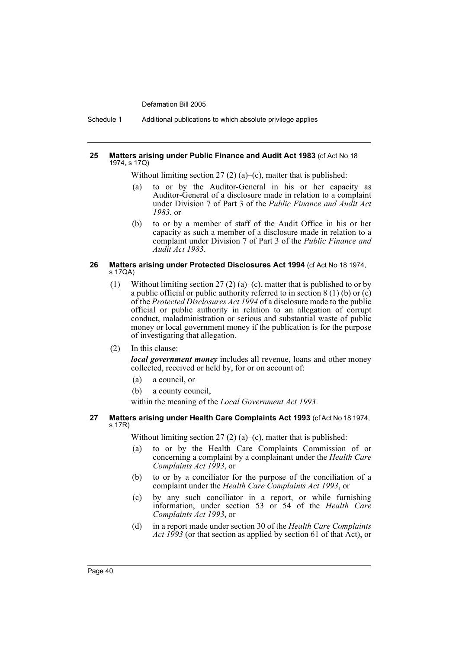Schedule 1 Additional publications to which absolute privilege applies

### **25 Matters arising under Public Finance and Audit Act 1983** (cf Act No 18 1974, s 17Q)

Without limiting section 27 (2) (a)–(c), matter that is published:

- (a) to or by the Auditor-General in his or her capacity as Auditor-General of a disclosure made in relation to a complaint under Division 7 of Part 3 of the *Public Finance and Audit Act 1983*, or
- (b) to or by a member of staff of the Audit Office in his or her capacity as such a member of a disclosure made in relation to a complaint under Division 7 of Part 3 of the *Public Finance and Audit Act 1983*.

### **26 Matters arising under Protected Disclosures Act 1994** (cf Act No 18 1974, s 17QA)

- (1) Without limiting section 27 (2) (a)–(c), matter that is published to or by a public official or public authority referred to in section  $8(1)$  (b) or (c) of the *Protected Disclosures Act 1994* of a disclosure made to the public official or public authority in relation to an allegation of corrupt conduct, maladministration or serious and substantial waste of public money or local government money if the publication is for the purpose of investigating that allegation.
- (2) In this clause:

*local government money* includes all revenue, loans and other money collected, received or held by, for or on account of:

- (a) a council, or
- (b) a county council,

within the meaning of the *Local Government Act 1993*.

### **27 Matters arising under Health Care Complaints Act 1993** (cf Act No 18 1974, s 17R)

Without limiting section 27 (2) (a)–(c), matter that is published:

- (a) to or by the Health Care Complaints Commission of or concerning a complaint by a complainant under the *Health Care Complaints Act 1993*, or
- (b) to or by a conciliator for the purpose of the conciliation of a complaint under the *Health Care Complaints Act 1993*, or
- (c) by any such conciliator in a report, or while furnishing information, under section 53 or 54 of the *Health Care Complaints Act 1993*, or
- (d) in a report made under section 30 of the *Health Care Complaints Act 1993* (or that section as applied by section 61 of that Act), or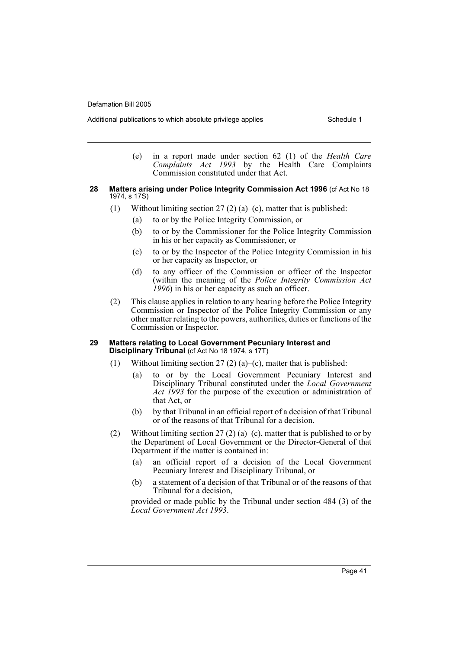Additional publications to which absolute privilege applies Schedule 1

- (e) in a report made under section 62 (1) of the *Health Care Complaints Act 1993* by the Health Care Complaints Commission constituted under that Act.
- **28 Matters arising under Police Integrity Commission Act 1996** (cf Act No 18 1974, s 17S)
	- (1) Without limiting section  $27(2)(a)$ –(c), matter that is published:
		- (a) to or by the Police Integrity Commission, or
		- (b) to or by the Commissioner for the Police Integrity Commission in his or her capacity as Commissioner, or
		- (c) to or by the Inspector of the Police Integrity Commission in his or her capacity as Inspector, or
		- (d) to any officer of the Commission or officer of the Inspector (within the meaning of the *Police Integrity Commission Act 1996*) in his or her capacity as such an officer.
	- (2) This clause applies in relation to any hearing before the Police Integrity Commission or Inspector of the Police Integrity Commission or any other matter relating to the powers, authorities, duties or functions of the Commission or Inspector.

### **29 Matters relating to Local Government Pecuniary Interest and Disciplinary Tribunal** (cf Act No 18 1974, s 17T)

- (1) Without limiting section 27 (2) (a)–(c), matter that is published:
	- (a) to or by the Local Government Pecuniary Interest and Disciplinary Tribunal constituted under the *Local Government Act 1993* for the purpose of the execution or administration of that Act, or
	- (b) by that Tribunal in an official report of a decision of that Tribunal or of the reasons of that Tribunal for a decision.
- (2) Without limiting section 27 (2) (a)–(c), matter that is published to or by the Department of Local Government or the Director-General of that Department if the matter is contained in:
	- (a) an official report of a decision of the Local Government Pecuniary Interest and Disciplinary Tribunal, or
	- (b) a statement of a decision of that Tribunal or of the reasons of that Tribunal for a decision,

provided or made public by the Tribunal under section 484 (3) of the *Local Government Act 1993*.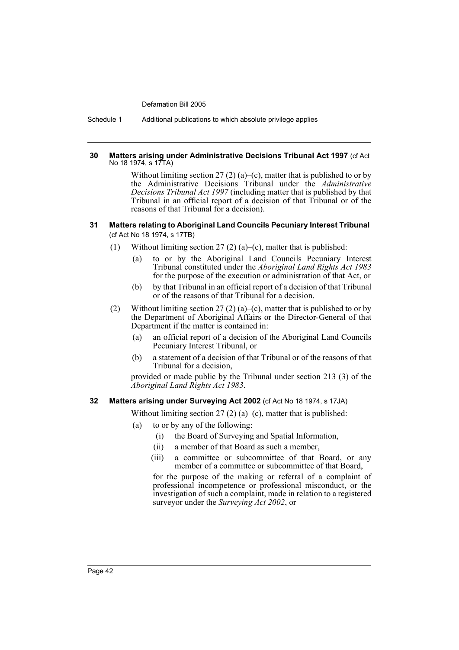Schedule 1 Additional publications to which absolute privilege applies

### **30 Matters arising under Administrative Decisions Tribunal Act 1997** (cf Act No 18 1974, s 17TA)

Without limiting section 27 (2) (a)–(c), matter that is published to or by the Administrative Decisions Tribunal under the *Administrative Decisions Tribunal Act 1997* (including matter that is published by that Tribunal in an official report of a decision of that Tribunal or of the reasons of that Tribunal for a decision).

### **31 Matters relating to Aboriginal Land Councils Pecuniary Interest Tribunal**  (cf Act No 18 1974, s 17TB)

- (1) Without limiting section 27 (2) (a)–(c), matter that is published:
	- (a) to or by the Aboriginal Land Councils Pecuniary Interest Tribunal constituted under the *Aboriginal Land Rights Act 1983* for the purpose of the execution or administration of that Act, or
	- (b) by that Tribunal in an official report of a decision of that Tribunal or of the reasons of that Tribunal for a decision.
- (2) Without limiting section 27 (2) (a)–(c), matter that is published to or by the Department of Aboriginal Affairs or the Director-General of that Department if the matter is contained in:
	- (a) an official report of a decision of the Aboriginal Land Councils Pecuniary Interest Tribunal, or
	- (b) a statement of a decision of that Tribunal or of the reasons of that Tribunal for a decision,

provided or made public by the Tribunal under section 213 (3) of the *Aboriginal Land Rights Act 1983*.

# **32 Matters arising under Surveying Act 2002** (cf Act No 18 1974, s 17JA)

Without limiting section 27 (2) (a)–(c), matter that is published:

- (a) to or by any of the following:
	- (i) the Board of Surveying and Spatial Information,
	- (ii) a member of that Board as such a member,
	- (iii) a committee or subcommittee of that Board, or any member of a committee or subcommittee of that Board,

for the purpose of the making or referral of a complaint of professional incompetence or professional misconduct, or the investigation of such a complaint, made in relation to a registered surveyor under the *Surveying Act 2002*, or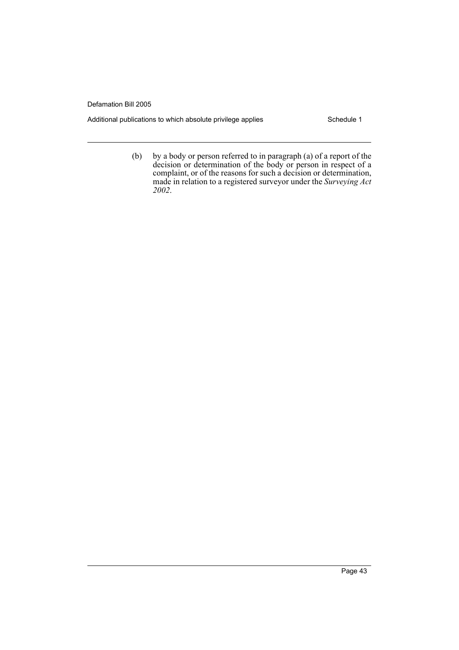Additional publications to which absolute privilege applies Schedule 1

(b) by a body or person referred to in paragraph (a) of a report of the decision or determination of the body or person in respect of a complaint, or of the reasons for such a decision or determination, made in relation to a registered surveyor under the *Surveying Act 2002*.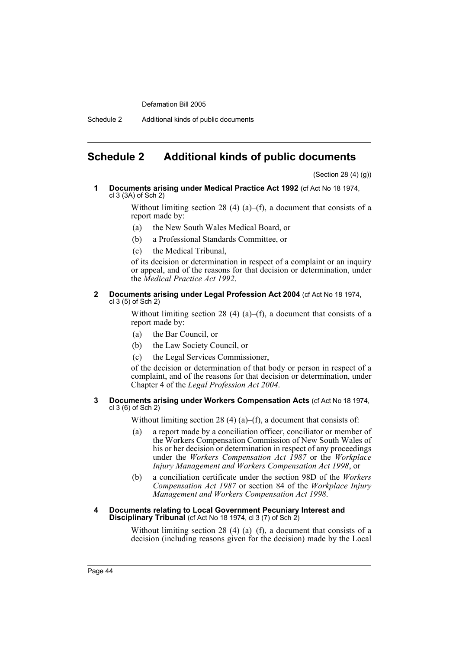Schedule 2 Additional kinds of public documents

# **Schedule 2 Additional kinds of public documents**

(Section 28 (4) (g))

**1 Documents arising under Medical Practice Act 1992** (cf Act No 18 1974, cl 3 (3A) of Sch 2)

> Without limiting section 28 (4) (a)–(f), a document that consists of a report made by:

- (a) the New South Wales Medical Board, or
- (b) a Professional Standards Committee, or
- (c) the Medical Tribunal,

of its decision or determination in respect of a complaint or an inquiry or appeal, and of the reasons for that decision or determination, under the *Medical Practice Act 1992*.

### **2 Documents arising under Legal Profession Act 2004** (cf Act No 18 1974, cl 3 (5) of Sch 2)

Without limiting section 28 (4) (a)–(f), a document that consists of a report made by:

- (a) the Bar Council, or
- (b) the Law Society Council, or
- (c) the Legal Services Commissioner,

of the decision or determination of that body or person in respect of a complaint, and of the reasons for that decision or determination, under Chapter 4 of the *Legal Profession Act 2004*.

### **3 Documents arising under Workers Compensation Acts** (cf Act No 18 1974, cl 3 (6) of Sch 2)

Without limiting section 28 (4) (a)–(f), a document that consists of:

- (a) a report made by a conciliation officer, conciliator or member of the Workers Compensation Commission of New South Wales of his or her decision or determination in respect of any proceedings under the *Workers Compensation Act 1987* or the *Workplace Injury Management and Workers Compensation Act 1998*, or
- (b) a conciliation certificate under the section 98D of the *Workers Compensation Act 1987* or section 84 of the *Workplace Injury Management and Workers Compensation Act 1998*.

### **4 Documents relating to Local Government Pecuniary Interest and Disciplinary Tribunal** (cf Act No 18 1974, cl 3 (7) of Sch 2)

Without limiting section 28 (4) (a)–(f), a document that consists of a decision (including reasons given for the decision) made by the Local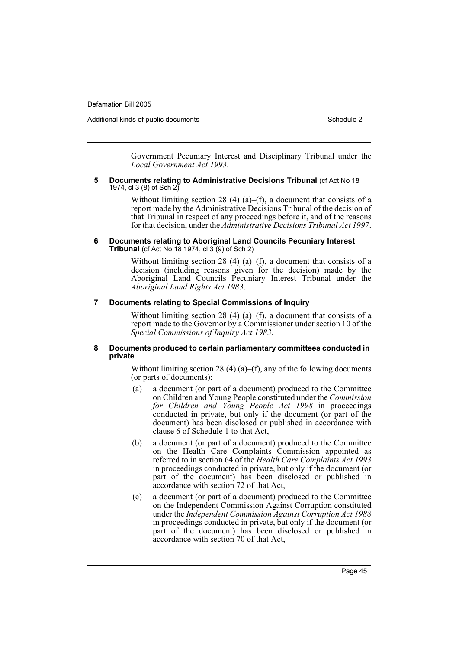Additional kinds of public documents Additional Schedule 2

Government Pecuniary Interest and Disciplinary Tribunal under the *Local Government Act 1993*.

#### **5 Documents relating to Administrative Decisions Tribunal** (cf Act No 18 1974, cl 3 (8) of Sch 2)

Without limiting section 28 (4) (a)–(f), a document that consists of a report made by the Administrative Decisions Tribunal of the decision of that Tribunal in respect of any proceedings before it, and of the reasons for that decision, under the *Administrative Decisions Tribunal Act 1997*.

### **6 Documents relating to Aboriginal Land Councils Pecuniary Interest Tribunal** (cf Act No 18 1974, cl 3 (9) of Sch 2)

Without limiting section 28 (4) (a)–(f), a document that consists of a decision (including reasons given for the decision) made by the Aboriginal Land Councils Pecuniary Interest Tribunal under the *Aboriginal Land Rights Act 1983*.

### **7 Documents relating to Special Commissions of Inquiry**

Without limiting section 28 (4) (a)–(f), a document that consists of a report made to the Governor by a Commissioner under section 10 of the *Special Commissions of Inquiry Act 1983*.

### **8 Documents produced to certain parliamentary committees conducted in private**

Without limiting section 28 (4) (a)–(f), any of the following documents (or parts of documents):

- (a) a document (or part of a document) produced to the Committee on Children and Young People constituted under the *Commission for Children and Young People Act 1998* in proceedings conducted in private, but only if the document (or part of the document) has been disclosed or published in accordance with clause 6 of Schedule 1 to that Act,
- (b) a document (or part of a document) produced to the Committee on the Health Care Complaints Commission appointed as referred to in section 64 of the *Health Care Complaints Act 1993* in proceedings conducted in private, but only if the document (or part of the document) has been disclosed or published in accordance with section 72 of that Act,
- (c) a document (or part of a document) produced to the Committee on the Independent Commission Against Corruption constituted under the *Independent Commission Against Corruption Act 1988* in proceedings conducted in private, but only if the document (or part of the document) has been disclosed or published in accordance with section 70 of that Act,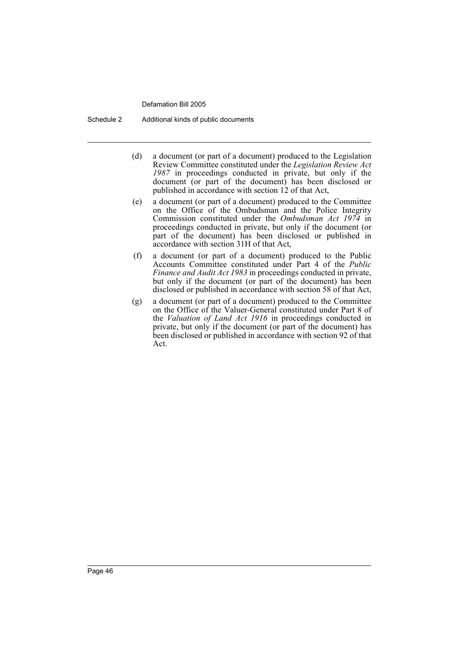Schedule 2 Additional kinds of public documents

- (d) a document (or part of a document) produced to the Legislation Review Committee constituted under the *Legislation Review Act 1987* in proceedings conducted in private, but only if the document (or part of the document) has been disclosed or published in accordance with section 12 of that Act,
- (e) a document (or part of a document) produced to the Committee on the Office of the Ombudsman and the Police Integrity Commission constituted under the *Ombudsman Act 1974* in proceedings conducted in private, but only if the document (or part of the document) has been disclosed or published in accordance with section 31H of that Act,
- (f) a document (or part of a document) produced to the Public Accounts Committee constituted under Part 4 of the *Public Finance and Audit Act 1983* in proceedings conducted in private, but only if the document (or part of the document) has been disclosed or published in accordance with section 58 of that Act,
- (g) a document (or part of a document) produced to the Committee on the Office of the Valuer-General constituted under Part 8 of the *Valuation of Land Act 1916* in proceedings conducted in private, but only if the document (or part of the document) has been disclosed or published in accordance with section 92 of that Act.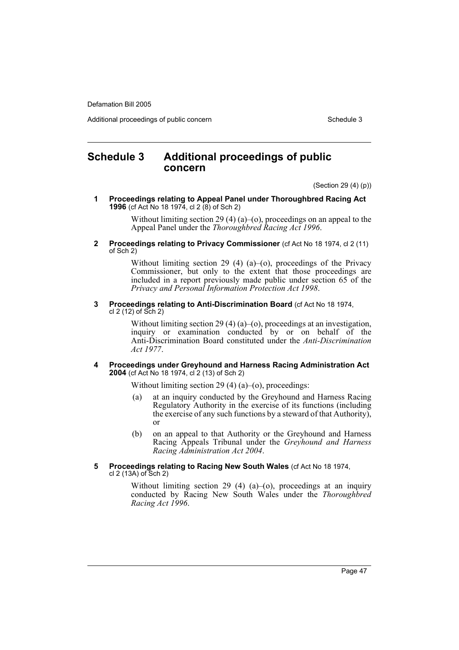Additional proceedings of public concern Schedule 3

# **Schedule 3 Additional proceedings of public concern**

(Section 29 (4) (p))

**1 Proceedings relating to Appeal Panel under Thoroughbred Racing Act 1996** (cf Act No 18 1974, cl 2 (8) of Sch 2)

> Without limiting section 29 (4) (a)–(o), proceedings on an appeal to the Appeal Panel under the *Thoroughbred Racing Act 1996*.

**2 Proceedings relating to Privacy Commissioner** (cf Act No 18 1974, cl 2 (11) of Sch 2)

> Without limiting section 29 (4) (a)–(o), proceedings of the Privacy Commissioner, but only to the extent that those proceedings are included in a report previously made public under section 65 of the *Privacy and Personal Information Protection Act 1998*.

**3 Proceedings relating to Anti-Discrimination Board** (cf Act No 18 1974, cl 2 (12) of Sch 2)

> Without limiting section 29 (4) (a)–(o), proceedings at an investigation, inquiry or examination conducted by or on behalf of the Anti-Discrimination Board constituted under the *Anti-Discrimination Act 1977*.

**4 Proceedings under Greyhound and Harness Racing Administration Act 2004** (cf Act No 18 1974, cl 2 (13) of Sch 2)

Without limiting section 29 (4) (a)–(o), proceedings:

- (a) at an inquiry conducted by the Greyhound and Harness Racing Regulatory Authority in the exercise of its functions (including the exercise of any such functions by a steward of that Authority), or
- (b) on an appeal to that Authority or the Greyhound and Harness Racing Appeals Tribunal under the *Greyhound and Harness Racing Administration Act 2004*.
- **5 Proceedings relating to Racing New South Wales** (cf Act No 18 1974, cl 2 (13A) of Sch 2)

Without limiting section 29 (4) (a)–(o), proceedings at an inquiry conducted by Racing New South Wales under the *Thoroughbred Racing Act 1996*.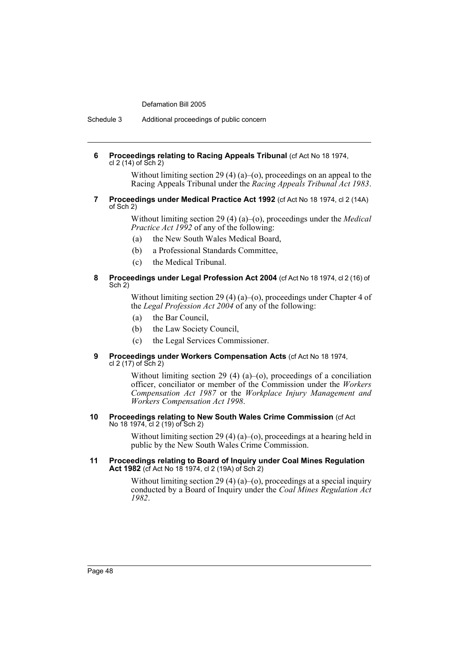Schedule 3 Additional proceedings of public concern

### **6 Proceedings relating to Racing Appeals Tribunal** (cf Act No 18 1974, cl  $2(14)$  of Sch  $2)$

Without limiting section 29 (4) (a)–(o), proceedings on an appeal to the Racing Appeals Tribunal under the *Racing Appeals Tribunal Act 1983*.

### **7 Proceedings under Medical Practice Act 1992** (cf Act No 18 1974, cl 2 (14A) of Sch 2)

Without limiting section 29 (4) (a)–(o), proceedings under the *Medical Practice Act 1992* of any of the following:

- (a) the New South Wales Medical Board,
- (b) a Professional Standards Committee,
- (c) the Medical Tribunal.

### **8 Proceedings under Legal Profession Act 2004** (cf Act No 18 1974, cl 2 (16) of Sch 2)

Without limiting section 29 (4) (a)–(o), proceedings under Chapter 4 of the *Legal Profession Act 2004* of any of the following:

- (a) the Bar Council,
- (b) the Law Society Council,
- (c) the Legal Services Commissioner.

### **9 Proceedings under Workers Compensation Acts** (cf Act No 18 1974, cl 2 (17) of Sch 2)

Without limiting section 29 (4) (a)–(o), proceedings of a conciliation officer, conciliator or member of the Commission under the *Workers Compensation Act 1987* or the *Workplace Injury Management and Workers Compensation Act 1998*.

#### **10 Proceedings relating to New South Wales Crime Commission** (cf Act No 18 1974, cl 2 (19) of Sch 2)

Without limiting section 29 (4) (a)–(o), proceedings at a hearing held in public by the New South Wales Crime Commission.

### **11 Proceedings relating to Board of Inquiry under Coal Mines Regulation Act 1982** (cf Act No 18 1974, cl 2 (19A) of Sch 2)

Without limiting section 29 (4) (a)–(o), proceedings at a special inquiry conducted by a Board of Inquiry under the *Coal Mines Regulation Act 1982*.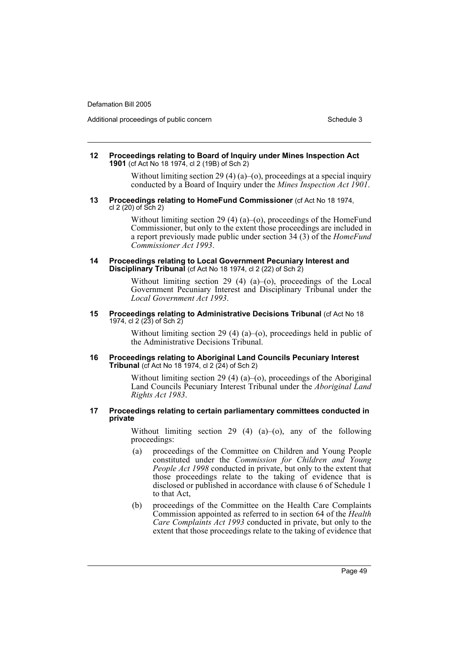Additional proceedings of public concern Schedule 3 and Schedule 3 and Schedule 3

#### **12 Proceedings relating to Board of Inquiry under Mines Inspection Act 1901** (cf Act No 18 1974, cl 2 (19B) of Sch 2)

Without limiting section 29 (4) (a)–(o), proceedings at a special inquiry conducted by a Board of Inquiry under the *Mines Inspection Act 1901*.

#### **13 Proceedings relating to HomeFund Commissioner** (cf Act No 18 1974, cl 2 (20) of Sch 2)

Without limiting section 29 (4) (a)–(o), proceedings of the HomeFund Commissioner, but only to the extent those proceedings are included in a report previously made public under section 34 (3) of the *HomeFund Commissioner Act 1993*.

#### **14 Proceedings relating to Local Government Pecuniary Interest and Disciplinary Tribunal** (cf Act No 18 1974, cl 2 (22) of Sch 2)

Without limiting section 29 (4) (a)–(o), proceedings of the Local Government Pecuniary Interest and Disciplinary Tribunal under the *Local Government Act 1993*.

#### **15 Proceedings relating to Administrative Decisions Tribunal** (cf Act No 18 1974, cl 2 (23) of Sch 2)

Without limiting section 29 (4) (a)–(o), proceedings held in public of the Administrative Decisions Tribunal.

### **16 Proceedings relating to Aboriginal Land Councils Pecuniary Interest Tribunal** (cf Act No 18 1974, cl 2 (24) of Sch 2)

Without limiting section 29 (4) (a)–(o), proceedings of the Aboriginal Land Councils Pecuniary Interest Tribunal under the *Aboriginal Land Rights Act 1983*.

### **17 Proceedings relating to certain parliamentary committees conducted in private**

Without limiting section 29 (4) (a)–(o), any of the following proceedings:

- (a) proceedings of the Committee on Children and Young People constituted under the *Commission for Children and Young People Act 1998* conducted in private, but only to the extent that those proceedings relate to the taking of evidence that is disclosed or published in accordance with clause 6 of Schedule 1 to that Act,
- (b) proceedings of the Committee on the Health Care Complaints Commission appointed as referred to in section 64 of the *Health Care Complaints Act 1993* conducted in private, but only to the extent that those proceedings relate to the taking of evidence that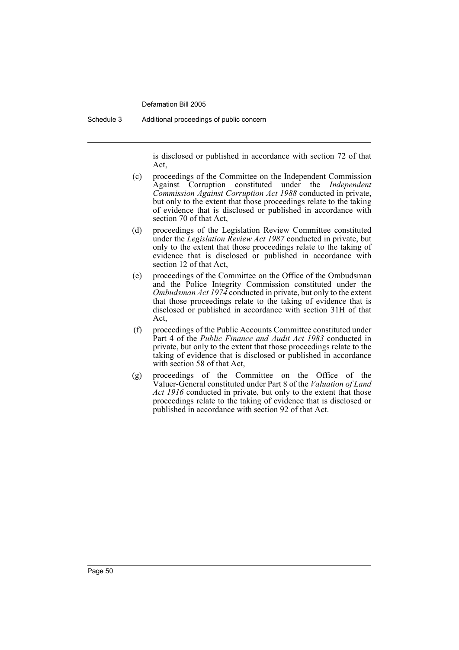Schedule 3 Additional proceedings of public concern

is disclosed or published in accordance with section 72 of that Act,

- (c) proceedings of the Committee on the Independent Commission Against Corruption constituted under the *Independent Commission Against Corruption Act 1988* conducted in private, but only to the extent that those proceedings relate to the taking of evidence that is disclosed or published in accordance with section 70 of that Act,
- (d) proceedings of the Legislation Review Committee constituted under the *Legislation Review Act 1987* conducted in private, but only to the extent that those proceedings relate to the taking of evidence that is disclosed or published in accordance with section 12 of that Act,
- (e) proceedings of the Committee on the Office of the Ombudsman and the Police Integrity Commission constituted under the *Ombudsman Act 1974* conducted in private, but only to the extent that those proceedings relate to the taking of evidence that is disclosed or published in accordance with section 31H of that Act,
- (f) proceedings of the Public Accounts Committee constituted under Part 4 of the *Public Finance and Audit Act 1983* conducted in private, but only to the extent that those proceedings relate to the taking of evidence that is disclosed or published in accordance with section 58 of that Act,
- (g) proceedings of the Committee on the Office of the Valuer-General constituted under Part 8 of the *Valuation of Land Act 1916* conducted in private, but only to the extent that those proceedings relate to the taking of evidence that is disclosed or published in accordance with section 92 of that Act.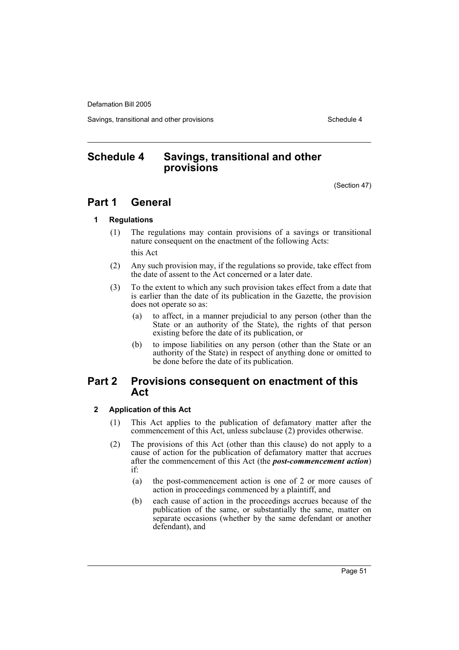Savings, transitional and other provisions Schedule 4 and the schedule 4

# **Schedule 4 Savings, transitional and other provisions**

(Section 47)

# **Part 1 General**

# **1 Regulations**

(1) The regulations may contain provisions of a savings or transitional nature consequent on the enactment of the following Acts:

this Act

- (2) Any such provision may, if the regulations so provide, take effect from the date of assent to the Act concerned or a later date.
- (3) To the extent to which any such provision takes effect from a date that is earlier than the date of its publication in the Gazette, the provision does not operate so as:
	- (a) to affect, in a manner prejudicial to any person (other than the State or an authority of the State), the rights of that person existing before the date of its publication, or
	- (b) to impose liabilities on any person (other than the State or an authority of the State) in respect of anything done or omitted to be done before the date of its publication.

# **Part 2 Provisions consequent on enactment of this Act**

# **2 Application of this Act**

- (1) This Act applies to the publication of defamatory matter after the commencement of this Act, unless subclause (2) provides otherwise.
- (2) The provisions of this Act (other than this clause) do not apply to a cause of action for the publication of defamatory matter that accrues after the commencement of this Act (the *post-commencement action*) if:
	- (a) the post-commencement action is one of 2 or more causes of action in proceedings commenced by a plaintiff, and
	- (b) each cause of action in the proceedings accrues because of the publication of the same, or substantially the same, matter on separate occasions (whether by the same defendant or another defendant), and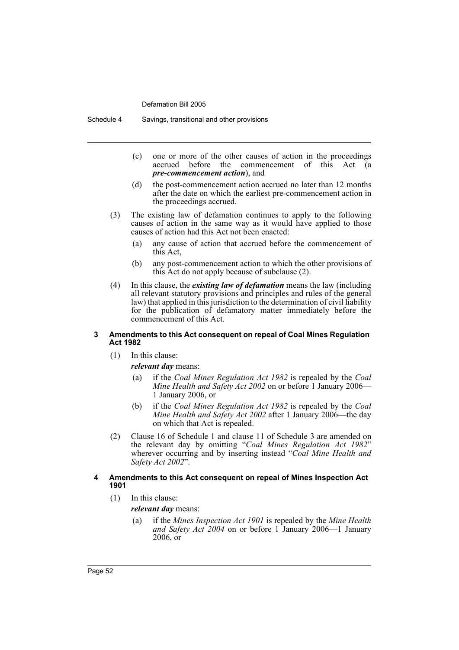Schedule 4 Savings, transitional and other provisions

- (c) one or more of the other causes of action in the proceedings  $\alpha$  accrued before the commencement of this Act *pre-commencement action*), and
- (d) the post-commencement action accrued no later than 12 months after the date on which the earliest pre-commencement action in the proceedings accrued.
- (3) The existing law of defamation continues to apply to the following causes of action in the same way as it would have applied to those causes of action had this Act not been enacted:
	- (a) any cause of action that accrued before the commencement of this Act,
	- (b) any post-commencement action to which the other provisions of this Act do not apply because of subclause (2).
- (4) In this clause, the *existing law of defamation* means the law (including all relevant statutory provisions and principles and rules of the general law) that applied in this jurisdiction to the determination of civil liability for the publication of defamatory matter immediately before the commencement of this Act.

### **3 Amendments to this Act consequent on repeal of Coal Mines Regulation Act 1982**

(1) In this clause:

*relevant day* means:

- (a) if the *Coal Mines Regulation Act 1982* is repealed by the *Coal Mine Health and Safety Act 2002* on or before 1 January 2006— 1 January 2006, or
- (b) if the *Coal Mines Regulation Act 1982* is repealed by the *Coal Mine Health and Safety Act 2002* after 1 January 2006—the day on which that Act is repealed.
- (2) Clause 16 of Schedule 1 and clause 11 of Schedule 3 are amended on the relevant day by omitting "*Coal Mines Regulation Act 1982*" wherever occurring and by inserting instead "*Coal Mine Health and Safety Act 2002*".

### **4 Amendments to this Act consequent on repeal of Mines Inspection Act 1901**

(1) In this clause:

*relevant day* means:

(a) if the *Mines Inspection Act 1901* is repealed by the *Mine Health and Safety Act 2004* on or before 1 January 2006—1 January  $2006$  or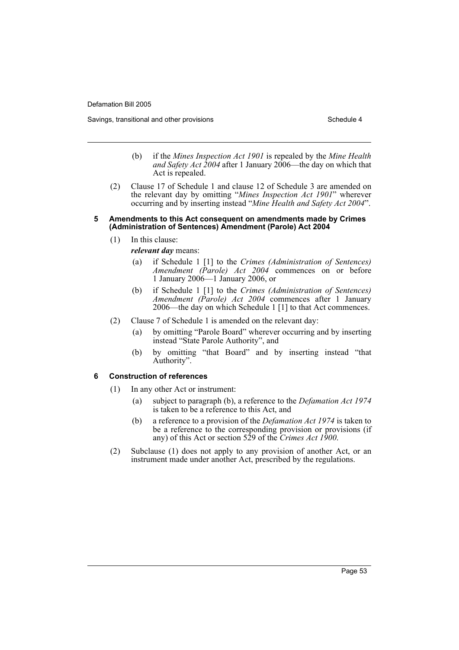Savings, transitional and other provisions Schedule 4 and the schedule 4

- (b) if the *Mines Inspection Act 1901* is repealed by the *Mine Health and Safety Act 2004* after 1 January 2006—the day on which that Act is repealed.
- (2) Clause 17 of Schedule 1 and clause 12 of Schedule 3 are amended on the relevant day by omitting "*Mines Inspection Act 1901*" wherever occurring and by inserting instead "*Mine Health and Safety Act 2004*".

### **5 Amendments to this Act consequent on amendments made by Crimes (Administration of Sentences) Amendment (Parole) Act 2004**

(1) In this clause:

*relevant day* means:

- (a) if Schedule 1 [1] to the *Crimes (Administration of Sentences) Amendment (Parole) Act 2004* commences on or before 1 January 2006—1 January 2006, or
- (b) if Schedule 1 [1] to the *Crimes (Administration of Sentences) Amendment (Parole) Act 2004* commences after 1 January 2006—the day on which Schedule 1 [1] to that Act commences.
- (2) Clause 7 of Schedule 1 is amended on the relevant day:
	- (a) by omitting "Parole Board" wherever occurring and by inserting instead "State Parole Authority", and
	- (b) by omitting "that Board" and by inserting instead "that Authority".

# **6 Construction of references**

- (1) In any other Act or instrument:
	- (a) subject to paragraph (b), a reference to the *Defamation Act 1974* is taken to be a reference to this Act, and
	- (b) a reference to a provision of the *Defamation Act 1974* is taken to be a reference to the corresponding provision or provisions (if any) of this Act or section 529 of the *Crimes Act 1900*.
- (2) Subclause (1) does not apply to any provision of another Act, or an instrument made under another Act, prescribed by the regulations.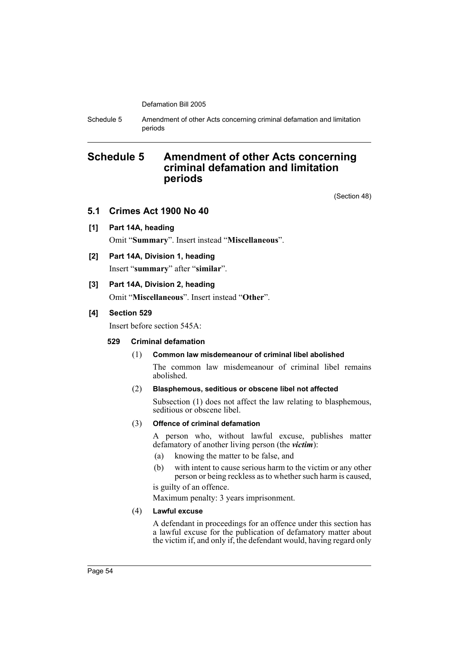Schedule 5 Amendment of other Acts concerning criminal defamation and limitation periods

# **Schedule 5 Amendment of other Acts concerning criminal defamation and limitation periods**

(Section 48)

# **5.1 Crimes Act 1900 No 40**

**[1] Part 14A, heading**

Omit "**Summary**". Insert instead "**Miscellaneous**".

# **[2] Part 14A, Division 1, heading** Insert "**summary**" after "**similar**".

# **[3] Part 14A, Division 2, heading**

Omit "**Miscellaneous**". Insert instead "**Other**".

# **[4] Section 529**

Insert before section 545A:

# **529 Criminal defamation**

# (1) **Common law misdemeanour of criminal libel abolished**

The common law misdemeanour of criminal libel remains abolished.

# (2) **Blasphemous, seditious or obscene libel not affected**

Subsection (1) does not affect the law relating to blasphemous, seditious or obscene libel.

# (3) **Offence of criminal defamation**

A person who, without lawful excuse, publishes matter defamatory of another living person (the *victim*):

- (a) knowing the matter to be false, and
- (b) with intent to cause serious harm to the victim or any other person or being reckless as to whether such harm is caused,

is guilty of an offence.

Maximum penalty: 3 years imprisonment.

# (4) **Lawful excuse**

A defendant in proceedings for an offence under this section has a lawful excuse for the publication of defamatory matter about the victim if, and only if, the defendant would, having regard only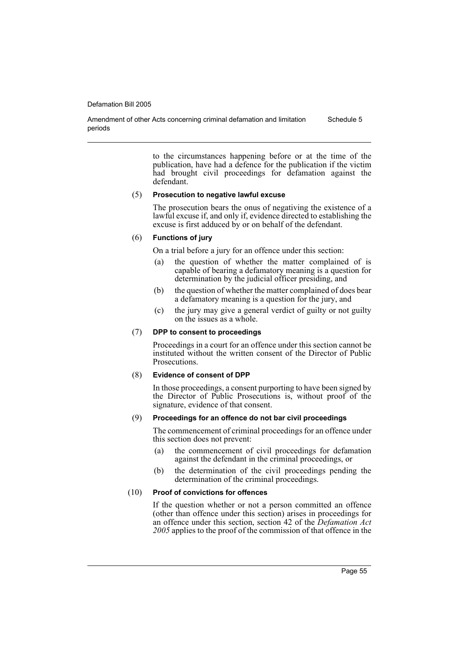Amendment of other Acts concerning criminal defamation and limitation periods Schedule 5

> to the circumstances happening before or at the time of the publication, have had a defence for the publication if the victim had brought civil proceedings for defamation against the defendant.

### (5) **Prosecution to negative lawful excuse**

The prosecution bears the onus of negativing the existence of a lawful excuse if, and only if, evidence directed to establishing the excuse is first adduced by or on behalf of the defendant.

### (6) **Functions of jury**

On a trial before a jury for an offence under this section:

- (a) the question of whether the matter complained of is capable of bearing a defamatory meaning is a question for determination by the judicial officer presiding, and
- (b) the question of whether the matter complained of does bear a defamatory meaning is a question for the jury, and
- (c) the jury may give a general verdict of guilty or not guilty on the issues as a whole.

### (7) **DPP to consent to proceedings**

Proceedings in a court for an offence under this section cannot be instituted without the written consent of the Director of Public Prosecutions.

### (8) **Evidence of consent of DPP**

In those proceedings, a consent purporting to have been signed by the Director of Public Prosecutions is, without proof of the signature, evidence of that consent.

### (9) **Proceedings for an offence do not bar civil proceedings**

The commencement of criminal proceedings for an offence under this section does not prevent:

- (a) the commencement of civil proceedings for defamation against the defendant in the criminal proceedings, or
- (b) the determination of the civil proceedings pending the determination of the criminal proceedings.

### (10) **Proof of convictions for offences**

If the question whether or not a person committed an offence (other than offence under this section) arises in proceedings for an offence under this section, section 42 of the *Defamation Act 2005* applies to the proof of the commission of that offence in the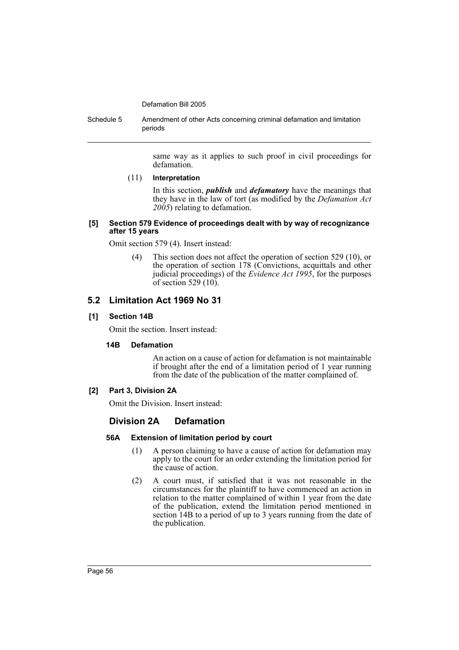Schedule 5 Amendment of other Acts concerning criminal defamation and limitation periods

> same way as it applies to such proof in civil proceedings for defamation.

### (11) **Interpretation**

In this section, *publish* and *defamatory* have the meanings that they have in the law of tort (as modified by the *Defamation Act 2005*) relating to defamation.

### **[5] Section 579 Evidence of proceedings dealt with by way of recognizance after 15 years**

Omit section 579 (4). Insert instead:

(4) This section does not affect the operation of section 529 (10), or the operation of section 178 (Convictions, acquittals and other judicial proceedings) of the *Evidence Act 1995*, for the purposes of section 529  $(10)$ .

# **5.2 Limitation Act 1969 No 31**

# **[1] Section 14B**

Omit the section. Insert instead:

# **14B Defamation**

An action on a cause of action for defamation is not maintainable if brought after the end of a limitation period of 1 year running from the date of the publication of the matter complained of.

# **[2] Part 3, Division 2A**

Omit the Division. Insert instead:

# **Division 2A Defamation**

# **56A Extension of limitation period by court**

- (1) A person claiming to have a cause of action for defamation may apply to the court for an order extending the limitation period for the cause of action.
- (2) A court must, if satisfied that it was not reasonable in the circumstances for the plaintiff to have commenced an action in relation to the matter complained of within 1 year from the date of the publication, extend the limitation period mentioned in section 14B to a period of up to 3 years running from the date of the publication.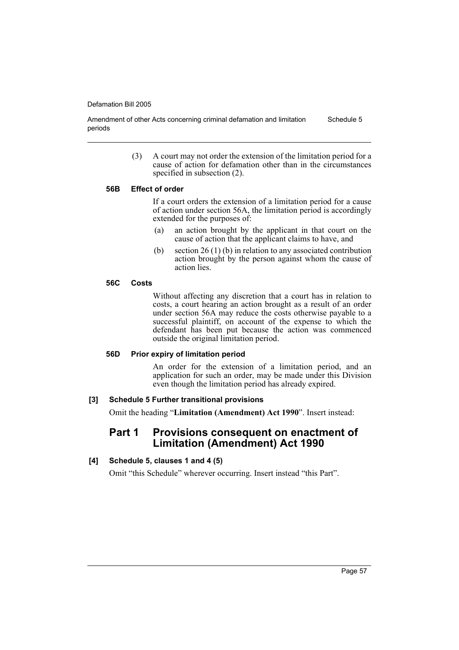Amendment of other Acts concerning criminal defamation and limitation periods Schedule 5

> (3) A court may not order the extension of the limitation period for a cause of action for defamation other than in the circumstances specified in subsection (2).

### **56B Effect of order**

If a court orders the extension of a limitation period for a cause of action under section 56A, the limitation period is accordingly extended for the purposes of:

- (a) an action brought by the applicant in that court on the cause of action that the applicant claims to have, and
- (b) section 26 (1) (b) in relation to any associated contribution action brought by the person against whom the cause of action lies.

# **56C Costs**

Without affecting any discretion that a court has in relation to costs, a court hearing an action brought as a result of an order under section 56A may reduce the costs otherwise payable to a successful plaintiff, on account of the expense to which the defendant has been put because the action was commenced outside the original limitation period.

### **56D Prior expiry of limitation period**

An order for the extension of a limitation period, and an application for such an order, may be made under this Division even though the limitation period has already expired.

# **[3] Schedule 5 Further transitional provisions**

Omit the heading "**Limitation (Amendment) Act 1990**". Insert instead:

# **Part 1 Provisions consequent on enactment of Limitation (Amendment) Act 1990**

# **[4] Schedule 5, clauses 1 and 4 (5)**

Omit "this Schedule" wherever occurring. Insert instead "this Part".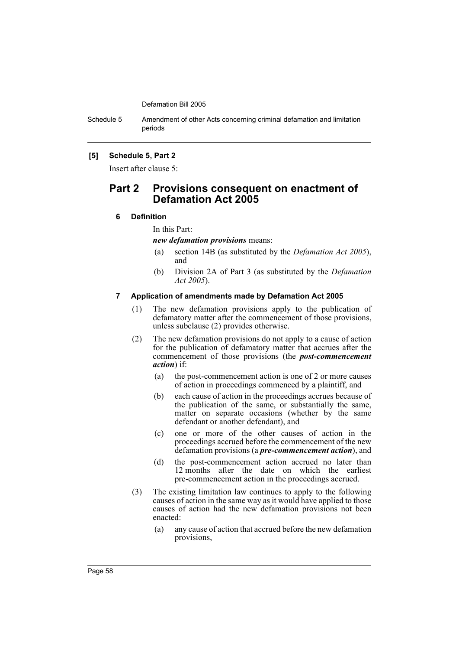Schedule 5 Amendment of other Acts concerning criminal defamation and limitation periods

# **[5] Schedule 5, Part 2**

Insert after clause 5:

# **Part 2 Provisions consequent on enactment of Defamation Act 2005**

## **6 Definition**

In this Part:

*new defamation provisions* means:

- (a) section 14B (as substituted by the *Defamation Act 2005*), and
- (b) Division 2A of Part 3 (as substituted by the *Defamation Act 2005*).

### **7 Application of amendments made by Defamation Act 2005**

- (1) The new defamation provisions apply to the publication of defamatory matter after the commencement of those provisions, unless subclause (2) provides otherwise.
- (2) The new defamation provisions do not apply to a cause of action for the publication of defamatory matter that accrues after the commencement of those provisions (the *post-commencement action*) if:
	- (a) the post-commencement action is one of 2 or more causes of action in proceedings commenced by a plaintiff, and
	- (b) each cause of action in the proceedings accrues because of the publication of the same, or substantially the same, matter on separate occasions (whether by the same defendant or another defendant), and
	- (c) one or more of the other causes of action in the proceedings accrued before the commencement of the new defamation provisions (a *pre-commencement action*), and
	- (d) the post-commencement action accrued no later than 12 months after the date on which the earliest pre-commencement action in the proceedings accrued.
- (3) The existing limitation law continues to apply to the following causes of action in the same way as it would have applied to those causes of action had the new defamation provisions not been enacted:
	- (a) any cause of action that accrued before the new defamation provisions,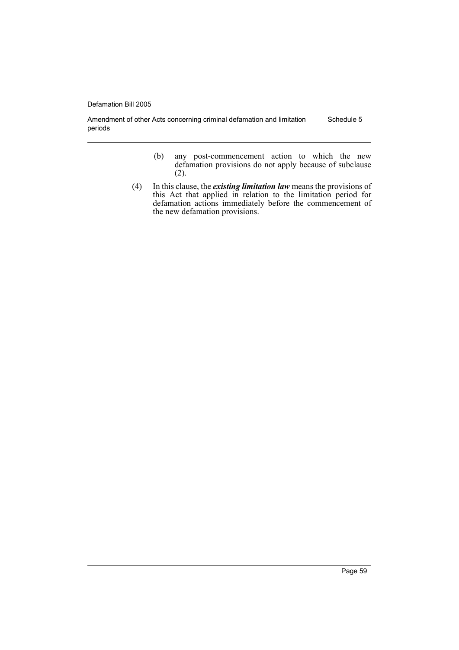Amendment of other Acts concerning criminal defamation and limitation periods Schedule 5

- (b) any post-commencement action to which the new defamation provisions do not apply because of subclause (2).
- (4) In this clause, the *existing limitation law* means the provisions of this Act that applied in relation to the limitation period for defamation actions immediately before the commencement of the new defamation provisions.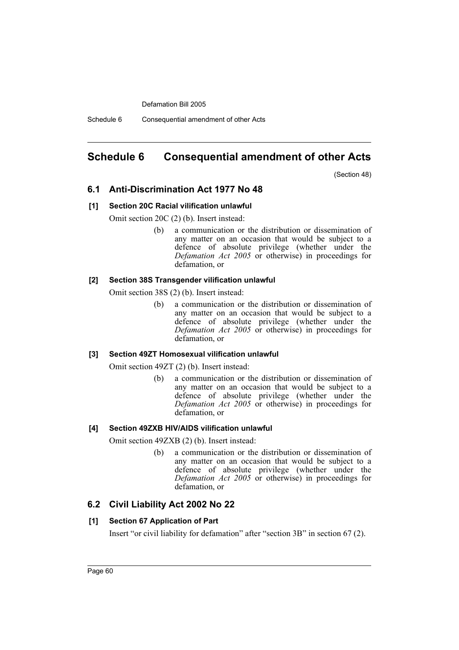Schedule 6 Consequential amendment of other Acts

# **Schedule 6 Consequential amendment of other Acts**

(Section 48)

# **6.1 Anti-Discrimination Act 1977 No 48**

### **[1] Section 20C Racial vilification unlawful**

Omit section 20C (2) (b). Insert instead:

(b) a communication or the distribution or dissemination of any matter on an occasion that would be subject to a defence of absolute privilege (whether under the *Defamation Act 2005* or otherwise) in proceedings for defamation, or

# **[2] Section 38S Transgender vilification unlawful**

Omit section 38S (2) (b). Insert instead:

(b) a communication or the distribution or dissemination of any matter on an occasion that would be subject to a defence of absolute privilege (whether under the *Defamation Act 2005* or otherwise) in proceedings for defamation, or

### **[3] Section 49ZT Homosexual vilification unlawful**

Omit section 49ZT (2) (b). Insert instead:

(b) a communication or the distribution or dissemination of any matter on an occasion that would be subject to a defence of absolute privilege (whether under the *Defamation Act 2005* or otherwise) in proceedings for defamation, or

# **[4] Section 49ZXB HIV/AIDS vilification unlawful**

Omit section 49ZXB (2) (b). Insert instead:

(b) a communication or the distribution or dissemination of any matter on an occasion that would be subject to a defence of absolute privilege (whether under the *Defamation Act 2005* or otherwise) in proceedings for defamation, or

# **6.2 Civil Liability Act 2002 No 22**

# **[1] Section 67 Application of Part**

Insert "or civil liability for defamation" after "section 3B" in section 67 (2).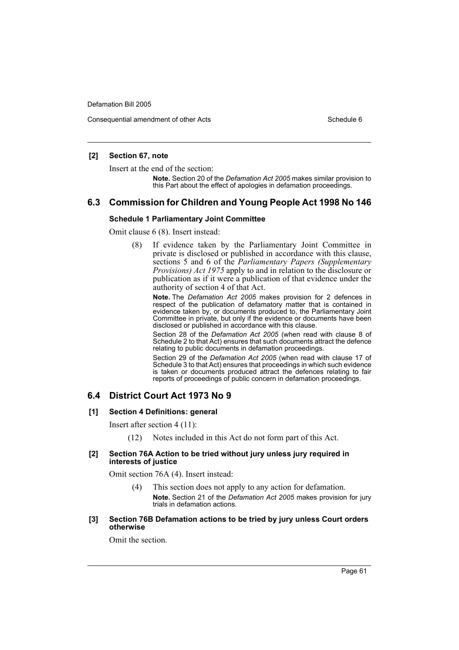Consequential amendment of other Acts Schedule 6

### **[2] Section 67, note**

Insert at the end of the section:

**Note.** Section 20 of the *Defamation Act 2005* makes similar provision to this Part about the effect of apologies in defamation proceedings.

# **6.3 Commission for Children and Young People Act 1998 No 146**

### **Schedule 1 Parliamentary Joint Committee**

Omit clause 6 (8). Insert instead:

(8) If evidence taken by the Parliamentary Joint Committee in private is disclosed or published in accordance with this clause, sections 5 and 6 of the *Parliamentary Papers (Supplementary Provisions) Act 1975* apply to and in relation to the disclosure or publication as if it were a publication of that evidence under the authority of section 4 of that Act.

**Note.** The *Defamation Act 2005* makes provision for 2 defences in respect of the publication of defamatory matter that is contained in evidence taken by, or documents produced to, the Parliamentary Joint Committee in private, but only if the evidence or documents have been disclosed or published in accordance with this clause.

Section 28 of the *Defamation Act 2005* (when read with clause 8 of Schedule 2 to that Act) ensures that such documents attract the defence relating to public documents in defamation proceedings.

Section 29 of the *Defamation Act 2005* (when read with clause 17 of Schedule 3 to that Act) ensures that proceedings in which such evidence is taken or documents produced attract the defences relating to fair reports of proceedings of public concern in defamation proceedings.

# **6.4 District Court Act 1973 No 9**

### **[1] Section 4 Definitions: general**

Insert after section 4 (11):

(12) Notes included in this Act do not form part of this Act.

### **[2] Section 76A Action to be tried without jury unless jury required in interests of justice**

Omit section 76A (4). Insert instead:

- (4) This section does not apply to any action for defamation. **Note.** Section 21 of the *Defamation Act 2005* makes provision for jury trials in defamation actions.
- **[3] Section 76B Defamation actions to be tried by jury unless Court orders otherwise**

Omit the section.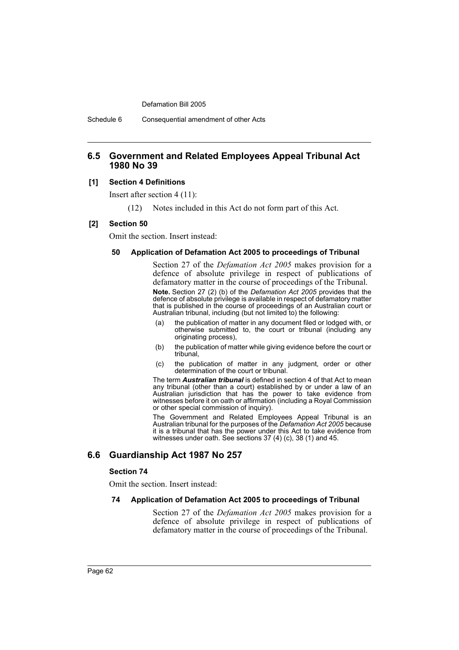Schedule 6 Consequential amendment of other Acts

# **6.5 Government and Related Employees Appeal Tribunal Act 1980 No 39**

### **[1] Section 4 Definitions**

Insert after section 4 (11):

(12) Notes included in this Act do not form part of this Act.

### **[2] Section 50**

Omit the section. Insert instead:

### **50 Application of Defamation Act 2005 to proceedings of Tribunal**

Section 27 of the *Defamation Act 2005* makes provision for a defence of absolute privilege in respect of publications of defamatory matter in the course of proceedings of the Tribunal. **Note.** Section 27 (2) (b) of the *Defamation Act 2005* provides that the defence of absolute privilege is available in respect of defamatory matter that is published in the course of proceedings of an Australian court or Australian tribunal, including (but not limited to) the following:

- (a) the publication of matter in any document filed or lodged with, or otherwise submitted to, the court or tribunal (including any originating process),
- (b) the publication of matter while giving evidence before the court or tribunal,
- (c) the publication of matter in any judgment, order or other determination of the court or tribunal.

The term *Australian tribunal* is defined in section 4 of that Act to mean any tribunal (other than a court) established by or under a law of an Australian jurisdiction that has the power to take evidence from witnesses before it on oath or affirmation (including a Royal Commission or other special commission of inquiry).

The Government and Related Employees Appeal Tribunal is an Australian tribunal for the purposes of the *Defamation Act 2005* because it is a tribunal that has the power under this Act to take evidence from witnesses under oath. See sections 37 (4) (c), 38 (1) and 45.

# **6.6 Guardianship Act 1987 No 257**

### **Section 74**

Omit the section. Insert instead:

### **74 Application of Defamation Act 2005 to proceedings of Tribunal**

Section 27 of the *Defamation Act 2005* makes provision for a defence of absolute privilege in respect of publications of defamatory matter in the course of proceedings of the Tribunal.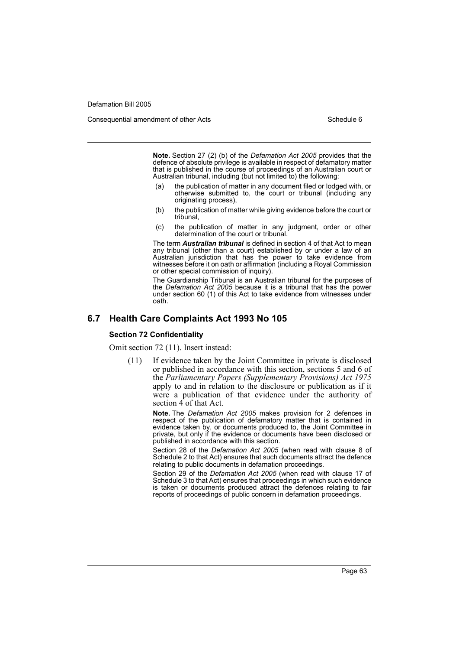Consequential amendment of other Acts Schedule 6

**Note.** Section 27 (2) (b) of the *Defamation Act 2005* provides that the defence of absolute privilege is available in respect of defamatory matter that is published in the course of proceedings of an Australian court or Australian tribunal, including (but not limited to) the following:

- (a) the publication of matter in any document filed or lodged with, or otherwise submitted to, the court or tribunal (including any originating process),
- (b) the publication of matter while giving evidence before the court or tribunal,
- (c) the publication of matter in any judgment, order or other determination of the court or tribunal.

The term *Australian tribunal* is defined in section 4 of that Act to mean any tribunal (other than a court) established by or under a law of an Australian jurisdiction that has the power to take evidence from witnesses before it on oath or affirmation (including a Royal Commission or other special commission of inquiry).

The Guardianship Tribunal is an Australian tribunal for the purposes of the *Defamation Act 2005* because it is a tribunal that has the power under section 60 (1) of this Act to take evidence from witnesses under oath.

### **6.7 Health Care Complaints Act 1993 No 105**

#### **Section 72 Confidentiality**

Omit section 72 (11). Insert instead:

(11) If evidence taken by the Joint Committee in private is disclosed or published in accordance with this section, sections 5 and 6 of the *Parliamentary Papers (Supplementary Provisions) Act 1975* apply to and in relation to the disclosure or publication as if it were a publication of that evidence under the authority of section  $\widehat{4}$  of that Act.

> **Note.** The *Defamation Act 2005* makes provision for 2 defences in respect of the publication of defamatory matter that is contained in evidence taken by, or documents produced to, the Joint Committee in private, but only if the evidence or documents have been disclosed or published in accordance with this section.

> Section 28 of the *Defamation Act 2005* (when read with clause 8 of Schedule 2 to that Act) ensures that such documents attract the defence relating to public documents in defamation proceedings.

> Section 29 of the *Defamation Act 2005* (when read with clause 17 of Schedule 3 to that Act) ensures that proceedings in which such evidence is taken or documents produced attract the defences relating to fair reports of proceedings of public concern in defamation proceedings.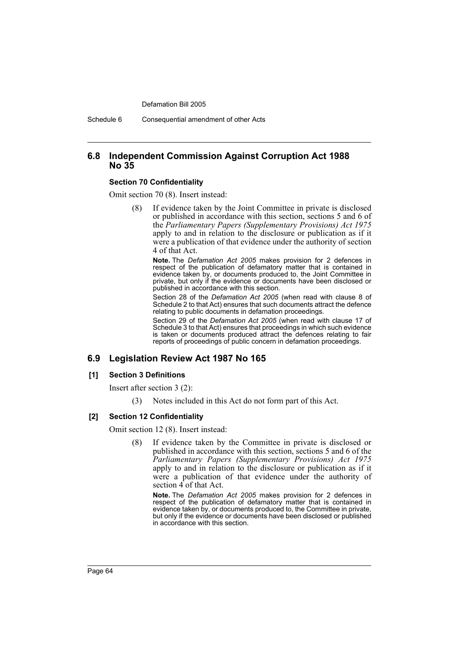Schedule 6 Consequential amendment of other Acts

# **6.8 Independent Commission Against Corruption Act 1988 No 35**

### **Section 70 Confidentiality**

Omit section 70 (8). Insert instead:

(8) If evidence taken by the Joint Committee in private is disclosed or published in accordance with this section, sections 5 and 6 of the *Parliamentary Papers (Supplementary Provisions) Act 1975* apply to and in relation to the disclosure or publication as if it were a publication of that evidence under the authority of section 4 of that Act.

**Note.** The *Defamation Act 2005* makes provision for 2 defences in respect of the publication of defamatory matter that is contained in evidence taken by, or documents produced to, the Joint Committee in private, but only if the evidence or documents have been disclosed or published in accordance with this section.

Section 28 of the *Defamation Act 2005* (when read with clause 8 of Schedule 2 to that Act) ensures that such documents attract the defence relating to public documents in defamation proceedings.

Section 29 of the *Defamation Act 2005* (when read with clause 17 of Schedule 3 to that Act) ensures that proceedings in which such evidence is taken or documents produced attract the defences relating to fair reports of proceedings of public concern in defamation proceedings.

# **6.9 Legislation Review Act 1987 No 165**

### **[1] Section 3 Definitions**

Insert after section 3 (2):

(3) Notes included in this Act do not form part of this Act.

### **[2] Section 12 Confidentiality**

Omit section 12 (8). Insert instead:

(8) If evidence taken by the Committee in private is disclosed or published in accordance with this section, sections 5 and 6 of the *Parliamentary Papers (Supplementary Provisions) Act 1975* apply to and in relation to the disclosure or publication as if it were a publication of that evidence under the authority of section  $\overline{4}$  of that Act.

**Note.** The *Defamation Act 2005* makes provision for 2 defences in respect of the publication of defamatory matter that is contained in evidence taken by, or documents produced to, the Committee in private, but only if the evidence or documents have been disclosed or published in accordance with this section.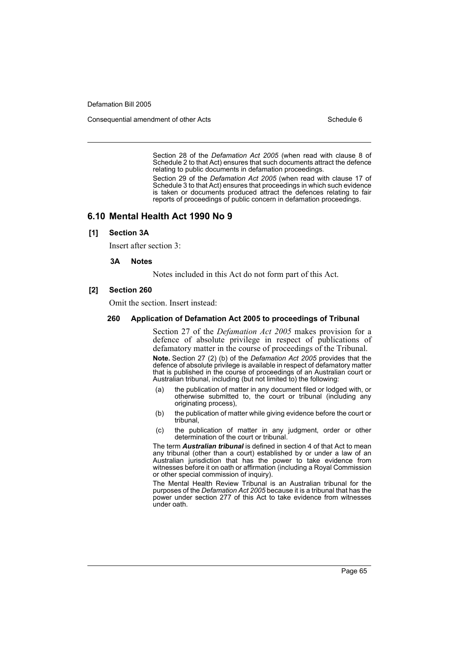Consequential amendment of other Acts Schedule 6

Section 28 of the *Defamation Act 2005* (when read with clause 8 of Schedule 2 to that Act) ensures that such documents attract the defence relating to public documents in defamation proceedings.

Section 29 of the *Defamation Act 2005* (when read with clause 17 of Schedule 3 to that Act) ensures that proceedings in which such evidence is taken or documents produced attract the defences relating to fair reports of proceedings of public concern in defamation proceedings.

# **6.10 Mental Health Act 1990 No 9**

### **[1] Section 3A**

Insert after section 3:

#### **3A Notes**

Notes included in this Act do not form part of this Act.

### **[2] Section 260**

Omit the section. Insert instead:

### **260 Application of Defamation Act 2005 to proceedings of Tribunal**

Section 27 of the *Defamation Act 2005* makes provision for a defence of absolute privilege in respect of publications of defamatory matter in the course of proceedings of the Tribunal.

**Note.** Section 27 (2) (b) of the *Defamation Act 2005* provides that the defence of absolute privilege is available in respect of defamatory matter that is published in the course of proceedings of an Australian court or Australian tribunal, including (but not limited to) the following:

- (a) the publication of matter in any document filed or lodged with, or otherwise submitted to, the court or tribunal (including any originating process),
- (b) the publication of matter while giving evidence before the court or tribunal,
- (c) the publication of matter in any judgment, order or other determination of the court or tribunal.

The term *Australian tribunal* is defined in section 4 of that Act to mean any tribunal (other than a court) established by or under a law of an Australian jurisdiction that has the power to take evidence from witnesses before it on oath or affirmation (including a Royal Commission or other special commission of inquiry).

The Mental Health Review Tribunal is an Australian tribunal for the purposes of the *Defamation Act 2005* because it is a tribunal that has the power under section 277 of this Act to take evidence from witnesses under oath.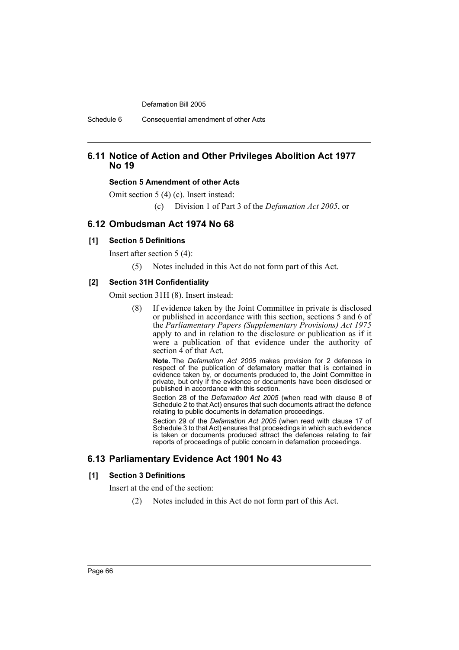Schedule 6 Consequential amendment of other Acts

# **6.11 Notice of Action and Other Privileges Abolition Act 1977 No 19**

### **Section 5 Amendment of other Acts**

Omit section 5 (4) (c). Insert instead:

(c) Division 1 of Part 3 of the *Defamation Act 2005*, or

# **6.12 Ombudsman Act 1974 No 68**

### **[1] Section 5 Definitions**

Insert after section 5 (4):

(5) Notes included in this Act do not form part of this Act.

### **[2] Section 31H Confidentiality**

Omit section 31H (8). Insert instead:

(8) If evidence taken by the Joint Committee in private is disclosed or published in accordance with this section, sections 5 and 6 of the *Parliamentary Papers (Supplementary Provisions) Act 1975* apply to and in relation to the disclosure or publication as if it were a publication of that evidence under the authority of section 4 of that Act.

**Note.** The *Defamation Act 2005* makes provision for 2 defences in respect of the publication of defamatory matter that is contained in evidence taken by, or documents produced to, the Joint Committee in private, but only if the evidence or documents have been disclosed or published in accordance with this section.

Section 28 of the *Defamation Act 2005* (when read with clause 8 of Schedule 2 to that Act) ensures that such documents attract the defence relating to public documents in defamation proceedings.

Section 29 of the *Defamation Act 2005* (when read with clause 17 of Schedule 3 to that Act) ensures that proceedings in which such evidence is taken or documents produced attract the defences relating to fair reports of proceedings of public concern in defamation proceedings.

# **6.13 Parliamentary Evidence Act 1901 No 43**

### **[1] Section 3 Definitions**

Insert at the end of the section:

(2) Notes included in this Act do not form part of this Act.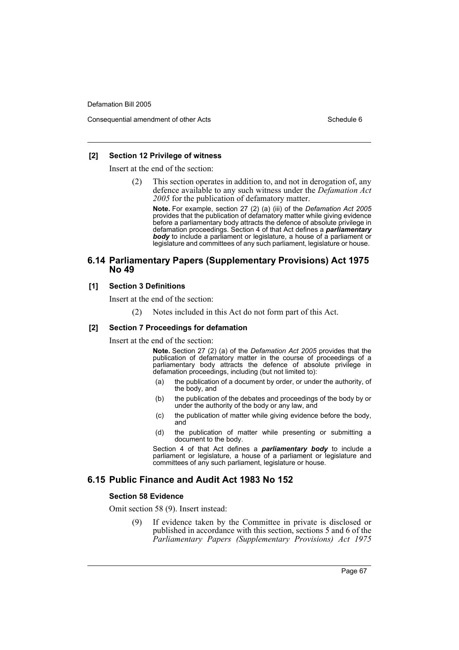Consequential amendment of other Acts Schedule 6

### **[2] Section 12 Privilege of witness**

Insert at the end of the section:

(2) This section operates in addition to, and not in derogation of, any defence available to any such witness under the *Defamation Act 2005* for the publication of defamatory matter.

**Note.** For example, section 27 (2) (a) (iii) of the *Defamation Act 2005* provides that the publication of defamatory matter while giving evidence before a parliamentary body attracts the defence of absolute privilege in defamation proceedings. Section 4 of that Act defines a *parliamentary body* to include a parliament or legislature, a house of a parliament or legislature and committees of any such parliament, legislature or house.

# **6.14 Parliamentary Papers (Supplementary Provisions) Act 1975 No 49**

### **[1] Section 3 Definitions**

Insert at the end of the section:

(2) Notes included in this Act do not form part of this Act.

### **[2] Section 7 Proceedings for defamation**

Insert at the end of the section:

**Note.** Section 27 (2) (a) of the *Defamation Act 2005* provides that the publication of defamatory matter in the course of proceedings of a parliamentary body attracts the defence of absolute privilege in defamation proceedings, including (but not limited to):

- (a) the publication of a document by order, or under the authority, of the body, and
- (b) the publication of the debates and proceedings of the body by or under the authority of the body or any law, and
- (c) the publication of matter while giving evidence before the body, and
- (d) the publication of matter while presenting or submitting a document to the body.

Section 4 of that Act defines a *parliamentary body* to include a parliament or legislature, a house of a parliament or legislature and committees of any such parliament, legislature or house.

# **6.15 Public Finance and Audit Act 1983 No 152**

### **Section 58 Evidence**

Omit section 58 (9). Insert instead:

(9) If evidence taken by the Committee in private is disclosed or published in accordance with this section, sections 5 and 6 of the *Parliamentary Papers (Supplementary Provisions) Act 1975*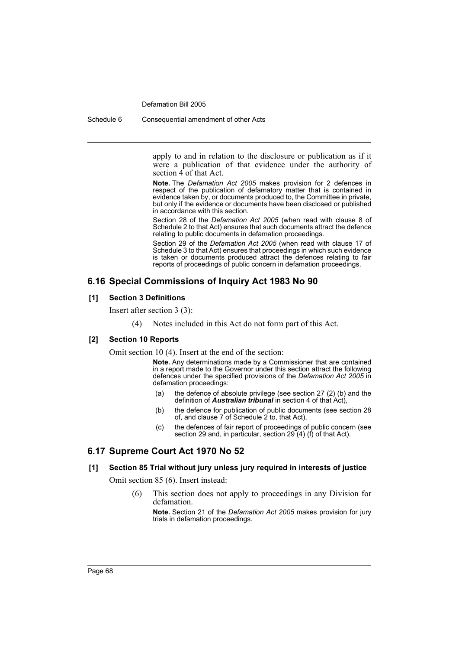Schedule 6 Consequential amendment of other Acts

apply to and in relation to the disclosure or publication as if it were a publication of that evidence under the authority of section  $\widehat{4}$  of that Act.

**Note.** The *Defamation Act 2005* makes provision for 2 defences in respect of the publication of defamatory matter that is contained in evidence taken by, or documents produced to, the Committee in private, but only if the evidence or documents have been disclosed or published in accordance with this section.

Section 28 of the *Defamation Act 2005* (when read with clause 8 of Schedule 2 to that Act) ensures that such documents attract the defence relating to public documents in defamation proceedings.

Section 29 of the *Defamation Act 2005* (when read with clause 17 of Schedule 3 to that Act) ensures that proceedings in which such evidence is taken or documents produced attract the defences relating to fair reports of proceedings of public concern in defamation proceedings.

# **6.16 Special Commissions of Inquiry Act 1983 No 90**

### **[1] Section 3 Definitions**

Insert after section 3 (3):

(4) Notes included in this Act do not form part of this Act.

### **[2] Section 10 Reports**

Omit section 10 (4). Insert at the end of the section:

**Note.** Any determinations made by a Commissioner that are contained in a report made to the Governor under this section attract the following defences under the specified provisions of the *Defamation Act 2005* in defamation proceedings:

- (a) the defence of absolute privilege (see section 27 (2) (b) and the definition of *Australian tribunal* in section 4 of that Act),
- (b) the defence for publication of public documents (see section 28 of, and clause 7 of Schedule 2 to, that Act),
- (c) the defences of fair report of proceedings of public concern (see section 29 and, in particular, section 29 (4) (f) of that Act).

# **6.17 Supreme Court Act 1970 No 52**

### **[1] Section 85 Trial without jury unless jury required in interests of justice**

Omit section 85 (6). Insert instead:

(6) This section does not apply to proceedings in any Division for defamation.

**Note.** Section 21 of the *Defamation Act 2005* makes provision for jury trials in defamation proceedings.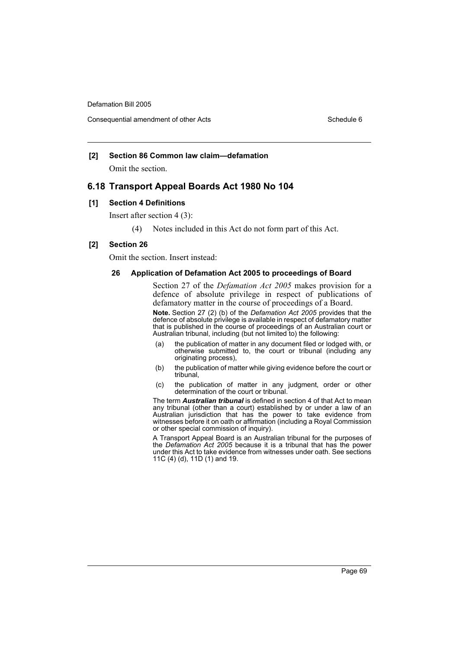## **[2] Section 86 Common law claim—defamation**

Omit the section.

# **6.18 Transport Appeal Boards Act 1980 No 104**

### **[1] Section 4 Definitions**

Insert after section 4 (3):

(4) Notes included in this Act do not form part of this Act.

### **[2] Section 26**

Omit the section. Insert instead:

### **26 Application of Defamation Act 2005 to proceedings of Board**

Section 27 of the *Defamation Act 2005* makes provision for a defence of absolute privilege in respect of publications of defamatory matter in the course of proceedings of a Board.

**Note.** Section 27 (2) (b) of the *Defamation Act 2005* provides that the defence of absolute privilege is available in respect of defamatory matter that is published in the course of proceedings of an Australian court or Australian tribunal, including (but not limited to) the following:

- (a) the publication of matter in any document filed or lodged with, or otherwise submitted to, the court or tribunal (including any originating process),
- (b) the publication of matter while giving evidence before the court or tribunal,
- (c) the publication of matter in any judgment, order or other determination of the court or tribunal.

The term *Australian tribunal* is defined in section 4 of that Act to mean any tribunal (other than a court) established by or under a law of an Australian jurisdiction that has the power to take evidence from witnesses before it on oath or affirmation (including a Royal Commission or other special commission of inquiry).

A Transport Appeal Board is an Australian tribunal for the purposes of the *Defamation Act 2005* because it is a tribunal that has the power under this Act to take evidence from witnesses under oath. See sections 11C (4) (d), 11D (1) and 19.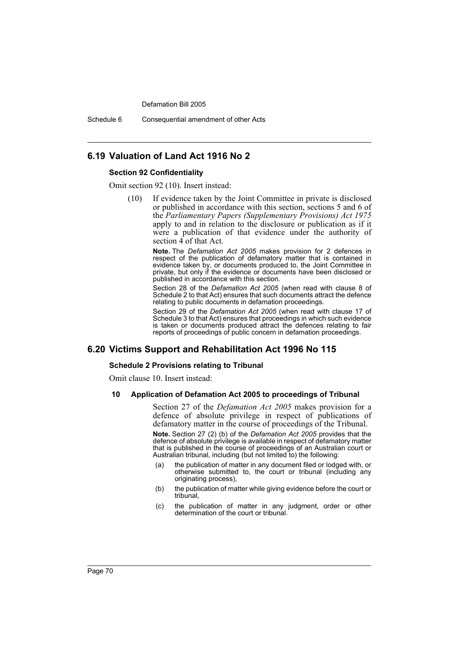Defamation Bill 2005

Schedule 6 Consequential amendment of other Acts

## **6.19 Valuation of Land Act 1916 No 2**

### **Section 92 Confidentiality**

Omit section 92 (10). Insert instead:

(10) If evidence taken by the Joint Committee in private is disclosed or published in accordance with this section, sections 5 and 6 of the *Parliamentary Papers (Supplementary Provisions) Act 1975* apply to and in relation to the disclosure or publication as if it were a publication of that evidence under the authority of section  $\widehat{4}$  of that Act.

> **Note.** The *Defamation Act 2005* makes provision for 2 defences in respect of the publication of defamatory matter that is contained in evidence taken by, or documents produced to, the Joint Committee in private, but only if the evidence or documents have been disclosed or published in accordance with this section.

> Section 28 of the *Defamation Act 2005* (when read with clause 8 of Schedule 2 to that Act) ensures that such documents attract the defence relating to public documents in defamation proceedings.

> Section 29 of the *Defamation Act 2005* (when read with clause 17 of Schedule 3 to that Act) ensures that proceedings in which such evidence is taken or documents produced attract the defences relating to fair reports of proceedings of public concern in defamation proceedings.

# **6.20 Victims Support and Rehabilitation Act 1996 No 115**

#### **Schedule 2 Provisions relating to Tribunal**

Omit clause 10. Insert instead:

### **10 Application of Defamation Act 2005 to proceedings of Tribunal**

Section 27 of the *Defamation Act 2005* makes provision for a defence of absolute privilege in respect of publications of defamatory matter in the course of proceedings of the Tribunal.

**Note.** Section 27 (2) (b) of the *Defamation Act 2005* provides that the defence of absolute privilege is available in respect of defamatory matter that is published in the course of proceedings of an Australian court or Australian tribunal, including (but not limited to) the following:

- (a) the publication of matter in any document filed or lodged with, or otherwise submitted to, the court or tribunal (including any originating process),
- (b) the publication of matter while giving evidence before the court or tribunal,
- (c) the publication of matter in any judgment, order or other determination of the court or tribunal.